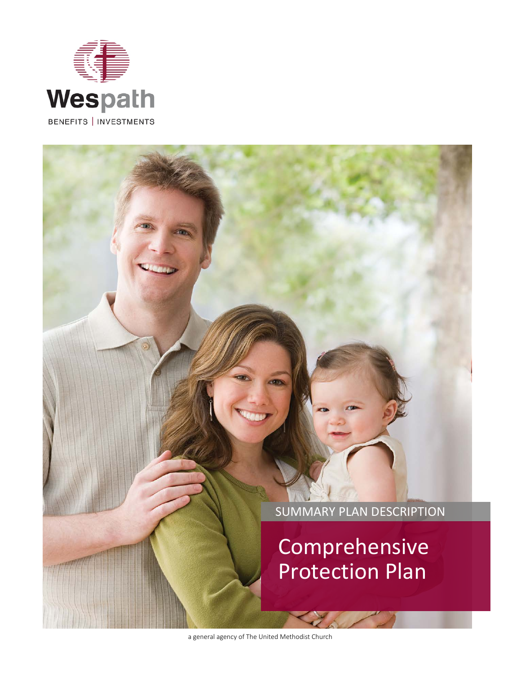

SUMMARY PLAN DESCRIPTION

# Comprehensive Protection Plan

a general agency of The United Methodist Church

 $\mathbf{a}$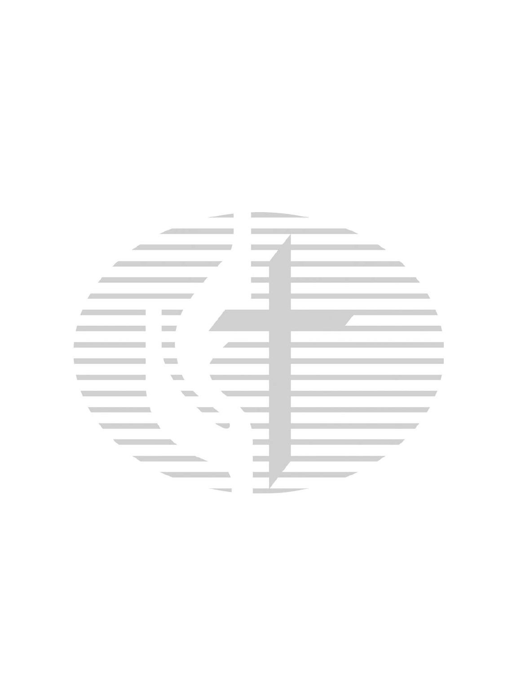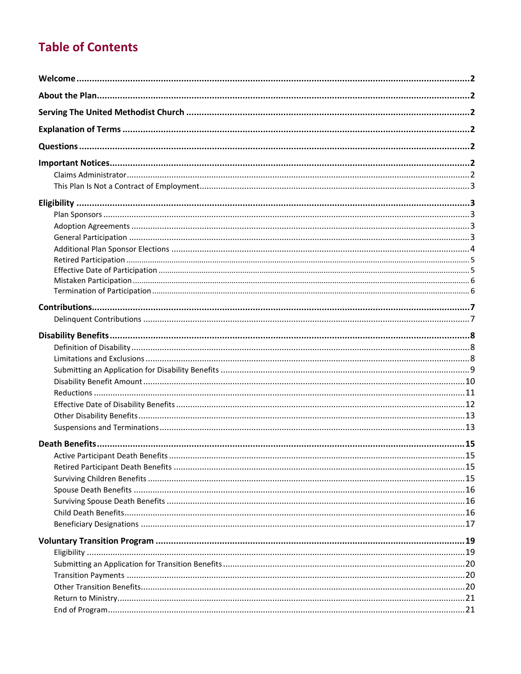# **Table of Contents**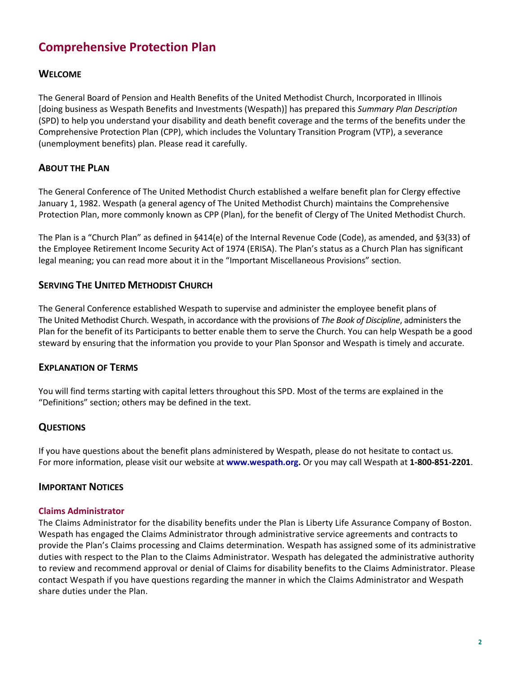## **Comprehensive Protection Plan**

### **WELCOME**

The General Board of Pension and Health Benefits of the United Methodist Church, Incorporated in Illinois [doing business as Wespath Benefits and Investments (Wespath)] has prepared this *Summary Plan Description* (SPD) to help you understand your disability and death benefit coverage and the terms of the benefits under the Comprehensive Protection Plan (CPP), which includes the Voluntary Transition Program (VTP), a severance (unemployment benefits) plan. Please read it carefully.

### **ABOUT THE PLAN**

The General Conference of The United Methodist Church established a welfare benefit plan for Clergy effective January 1, 1982. Wespath (a general agency of The United Methodist Church) maintains the Comprehensive Protection Plan, more commonly known as CPP (Plan), for the benefit of Clergy of The United Methodist Church.

The Plan is a "Church Plan" as defined in §414(e) of the Internal Revenue Code (Code), as amended, and §3(33) of the Employee Retirement Income Security Act of 1974 (ERISA). The Plan's status as a Church Plan has significant legal meaning; you can read more about it in the "Important Miscellaneous Provisions" section.

### **SERVING THE UNITED METHODIST CHURCH**

The General Conference established Wespath to supervise and administer the employee benefit plans of The United Methodist Church. Wespath, in accordance with the provisions of *The Book of Discipline*, administers the Plan for the benefit of its Participants to better enable them to serve the Church. You can help Wespath be a good steward by ensuring that the information you provide to your Plan Sponsor and Wespath is timely and accurate.

### **EXPLANATION OF TERMS**

You will find terms starting with capital letters throughout this SPD. Most of the terms are explained in the "Definitions" section; others may be defined in the text.

### **QUESTIONS**

If you have questions about the benefit plans administered by Wespath, please do not hesitate to contact us. For more information, please visit our website at **[www.wespath.org.](http://www.wespath.org/)** Or you may call Wespath at **1-800-851-2201**.

### **IMPORTANT NOTICES**

#### **Claims Administrator**

The Claims Administrator for the disability benefits under the Plan is Liberty Life Assurance Company of Boston. Wespath has engaged the Claims Administrator through administrative service agreements and contracts to provide the Plan's Claims processing and Claims determination. Wespath has assigned some of its administrative duties with respect to the Plan to the Claims Administrator. Wespath has delegated the administrative authority to review and recommend approval or denial of Claims for disability benefits to the Claims Administrator. Please contact Wespath if you have questions regarding the manner in which the Claims Administrator and Wespath share duties under the Plan.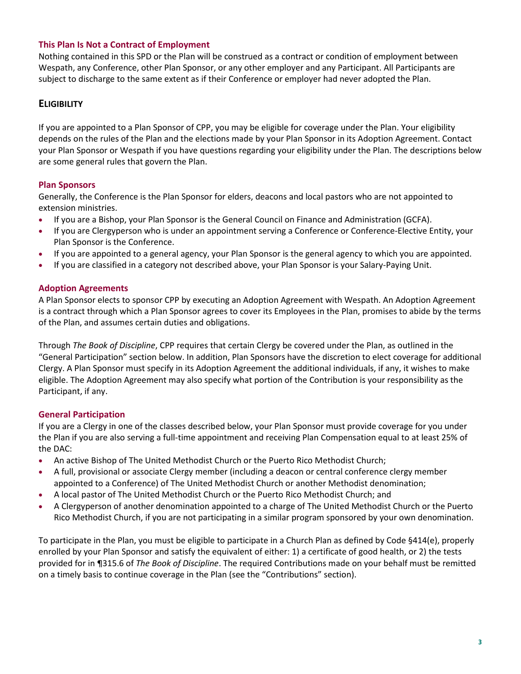### **This Plan Is Not a Contract of Employment**

Nothing contained in this SPD or the Plan will be construed as a contract or condition of employment between Wespath, any Conference, other Plan Sponsor, or any other employer and any Participant. All Participants are subject to discharge to the same extent as if their Conference or employer had never adopted the Plan.

### **ELIGIBILITY**

If you are appointed to a Plan Sponsor of CPP, you may be eligible for coverage under the Plan. Your eligibility depends on the rules of the Plan and the elections made by your Plan Sponsor in its Adoption Agreement. Contact your Plan Sponsor or Wespath if you have questions regarding your eligibility under the Plan. The descriptions below are some general rules that govern the Plan.

### **Plan Sponsors**

Generally, the Conference is the Plan Sponsor for elders, deacons and local pastors who are not appointed to extension ministries.

- If you are a Bishop, your Plan Sponsor is the General Council on Finance and Administration (GCFA).
- If you are Clergyperson who is under an appointment serving a Conference or Conference-Elective Entity, your Plan Sponsor is the Conference.
- If you are appointed to a general agency, your Plan Sponsor is the general agency to which you are appointed.
- If you are classified in a category not described above, your Plan Sponsor is your Salary-Paying Unit.

### **Adoption Agreements**

A Plan Sponsor elects to sponsor CPP by executing an Adoption Agreement with Wespath. An Adoption Agreement is a contract through which a Plan Sponsor agrees to cover its Employees in the Plan, promises to abide by the terms of the Plan, and assumes certain duties and obligations.

Through *The Book of Discipline*, CPP requires that certain Clergy be covered under the Plan, as outlined in the "General Participation" section below. In addition, Plan Sponsors have the discretion to elect coverage for additional Clergy. A Plan Sponsor must specify in its Adoption Agreement the additional individuals, if any, it wishes to make eligible. The Adoption Agreement may also specify what portion of the Contribution is your responsibility as the Participant, if any.

### **General Participation**

If you are a Clergy in one of the classes described below, your Plan Sponsor must provide coverage for you under the Plan if you are also serving a full-time appointment and receiving Plan Compensation equal to at least 25% of the DAC:

- An active Bishop of The United Methodist Church or the Puerto Rico Methodist Church;
- A full, provisional or associate Clergy member (including a deacon or central conference clergy member appointed to a Conference) of The United Methodist Church or another Methodist denomination;
- A local pastor of The United Methodist Church or the Puerto Rico Methodist Church; and
- A Clergyperson of another denomination appointed to a charge of The United Methodist Church or the Puerto Rico Methodist Church, if you are not participating in a similar program sponsored by your own denomination.

To participate in the Plan, you must be eligible to participate in a Church Plan as defined by Code §414(e), properly enrolled by your Plan Sponsor and satisfy the equivalent of either: 1) a certificate of good health, or 2) the tests provided for in ¶315.6 of *The Book of Discipline*. The required Contributions made on your behalf must be remitted on a timely basis to continue coverage in the Plan (see the "Contributions" section).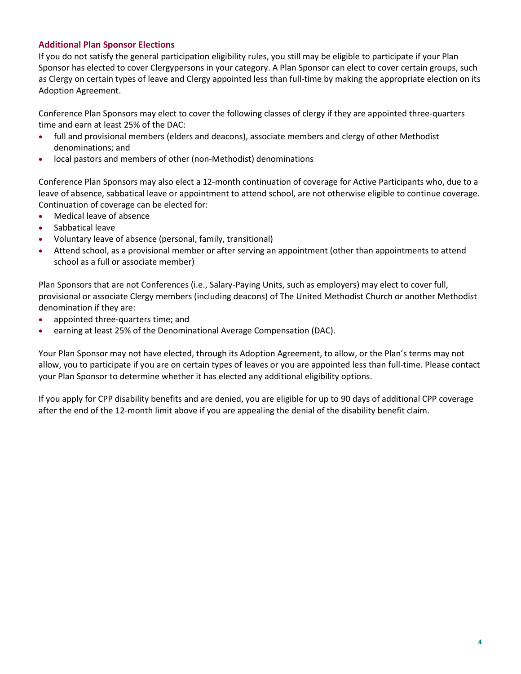### **Additional Plan Sponsor Elections**

If you do not satisfy the general participation eligibility rules, you still may be eligible to participate if your Plan Sponsor has elected to cover Clergypersons in your category. A Plan Sponsor can elect to cover certain groups, such as Clergy on certain types of leave and Clergy appointed less than full-time by making the appropriate election on its Adoption Agreement.

Conference Plan Sponsors may elect to cover the following classes of clergy if they are appointed three-quarters time and earn at least 25% of the DAC:

- full and provisional members (elders and deacons), associate members and clergy of other Methodist denominations; and
- local pastors and members of other (non-Methodist) denominations

Conference Plan Sponsors may also elect a 12-month continuation of coverage for Active Participants who, due to a leave of absence, sabbatical leave or appointment to attend school, are not otherwise eligible to continue coverage. Continuation of coverage can be elected for:

- Medical leave of absence
- Sabbatical leave
- Voluntary leave of absence (personal, family, transitional)
- Attend school, as a provisional member or after serving an appointment (other than appointments to attend school as a full or associate member)

Plan Sponsors that are not Conferences (i.e., Salary-Paying Units, such as employers) may elect to cover full, provisional or associate Clergy members (including deacons) of The United Methodist Church or another Methodist denomination if they are:

- appointed three-quarters time; and
- earning at least 25% of the Denominational Average Compensation (DAC).

Your Plan Sponsor may not have elected, through its Adoption Agreement, to allow, or the Plan's terms may not allow, you to participate if you are on certain types of leaves or you are appointed less than full-time. Please contact your Plan Sponsor to determine whether it has elected any additional eligibility options.

If you apply for CPP disability benefits and are denied, you are eligible for up to 90 days of additional CPP coverage after the end of the 12-month limit above if you are appealing the denial of the disability benefit claim.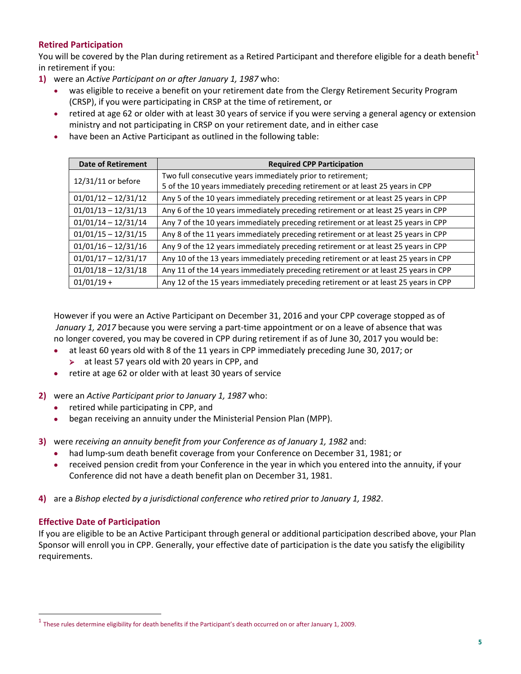### **Retired Participation**

You will be covered by the Plan during retirement as a Retired Participant and therefore eligible for a death benefit<sup>[1](#page-7-0)</sup> in retirement if you:

- **1)** were an *Active Participant on or after January 1, 1987* who:
	- was eligible to receive a benefit on your retirement date from the Clergy Retirement Security Program (CRSP), if you were participating in CRSP at the time of retirement, or
	- retired at age 62 or older with at least 30 years of service if you were serving a general agency or extension ministry and not participating in CRSP on your retirement date, and in either case
	- have been an Active Participant as outlined in the following table:

| <b>Date of Retirement</b> | <b>Required CPP Participation</b>                                                   |  |
|---------------------------|-------------------------------------------------------------------------------------|--|
| 12/31/11 or before        | Two full consecutive years immediately prior to retirement;                         |  |
|                           | 5 of the 10 years immediately preceding retirement or at least 25 years in CPP      |  |
| $01/01/12 - 12/31/12$     | Any 5 of the 10 years immediately preceding retirement or at least 25 years in CPP  |  |
| $01/01/13 - 12/31/13$     | Any 6 of the 10 years immediately preceding retirement or at least 25 years in CPP  |  |
| $01/01/14 - 12/31/14$     | Any 7 of the 10 years immediately preceding retirement or at least 25 years in CPP  |  |
| $01/01/15 - 12/31/15$     | Any 8 of the 11 years immediately preceding retirement or at least 25 years in CPP  |  |
| $01/01/16 - 12/31/16$     | Any 9 of the 12 years immediately preceding retirement or at least 25 years in CPP  |  |
| $01/01/17 - 12/31/17$     | Any 10 of the 13 years immediately preceding retirement or at least 25 years in CPP |  |
| $01/01/18 - 12/31/18$     | Any 11 of the 14 years immediately preceding retirement or at least 25 years in CPP |  |
| $01/01/19 +$              | Any 12 of the 15 years immediately preceding retirement or at least 25 years in CPP |  |

However if you were an Active Participant on December 31, 2016 and your CPP coverage stopped as of *January 1, 2017* because you were serving a part-time appointment or on a leave of absence that was no longer covered, you may be covered in CPP during retirement if as of June 30, 2017 you would be:

- at least 60 years old with 8 of the 11 years in CPP immediately preceding June 30, 2017; or
	- $\geq$  at least 57 years old with 20 years in CPP, and
- retire at age 62 or older with at least 30 years of service
- **2)** were an *Active Participant prior to January 1, 1987* who:
	- retired while participating in CPP, and
	- began receiving an annuity under the Ministerial Pension Plan (MPP).
- **3)** were *receiving an annuity benefit from your Conference as of January 1, 1982* and:
	- had lump-sum death benefit coverage from your Conference on December 31, 1981; or
	- received pension credit from your Conference in the year in which you entered into the annuity, if your Conference did not have a death benefit plan on December 31, 1981.
- **4)** are a *Bishop elected by a jurisdictional conference who retired prior to January 1, 1982*.

### **Effective Date of Participation**

If you are eligible to be an Active Participant through general or additional participation described above, your Plan Sponsor will enroll you in CPP. Generally, your effective date of participation is the date you satisfy the eligibility requirements.

<span id="page-7-0"></span> $<sup>1</sup>$  These rules determine eligibility for death benefits if the Participant's death occurred on or after January 1, 2009.</sup>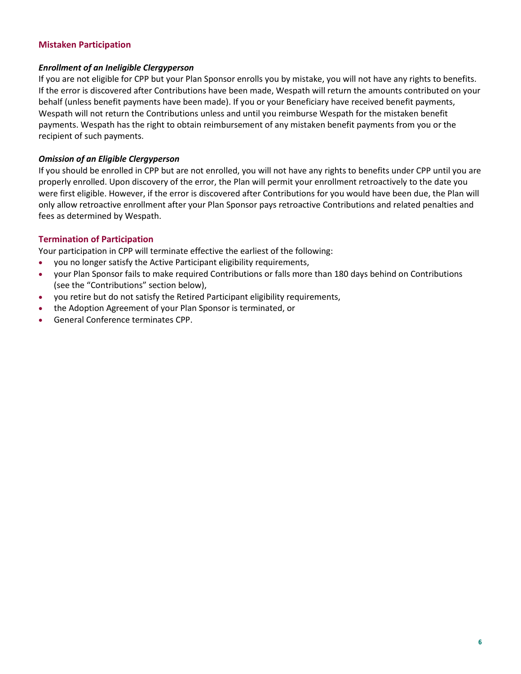### **Mistaken Participation**

### *Enrollment of an Ineligible Clergyperson*

If you are not eligible for CPP but your Plan Sponsor enrolls you by mistake, you will not have any rights to benefits. If the error is discovered after Contributions have been made, Wespath will return the amounts contributed on your behalf (unless benefit payments have been made). If you or your Beneficiary have received benefit payments, Wespath will not return the Contributions unless and until you reimburse Wespath for the mistaken benefit payments. Wespath has the right to obtain reimbursement of any mistaken benefit payments from you or the recipient of such payments.

### *Omission of an Eligible Clergyperson*

If you should be enrolled in CPP but are not enrolled, you will not have any rights to benefits under CPP until you are properly enrolled. Upon discovery of the error, the Plan will permit your enrollment retroactively to the date you were first eligible. However, if the error is discovered after Contributions for you would have been due, the Plan will only allow retroactive enrollment after your Plan Sponsor pays retroactive Contributions and related penalties and fees as determined by Wespath.

### **Termination of Participation**

Your participation in CPP will terminate effective the earliest of the following:

- you no longer satisfy the Active Participant eligibility requirements,
- your Plan Sponsor fails to make required Contributions or falls more than 180 days behind on Contributions (see the "Contributions" section below),
- you retire but do not satisfy the Retired Participant eligibility requirements,
- the Adoption Agreement of your Plan Sponsor is terminated, or
- General Conference terminates CPP.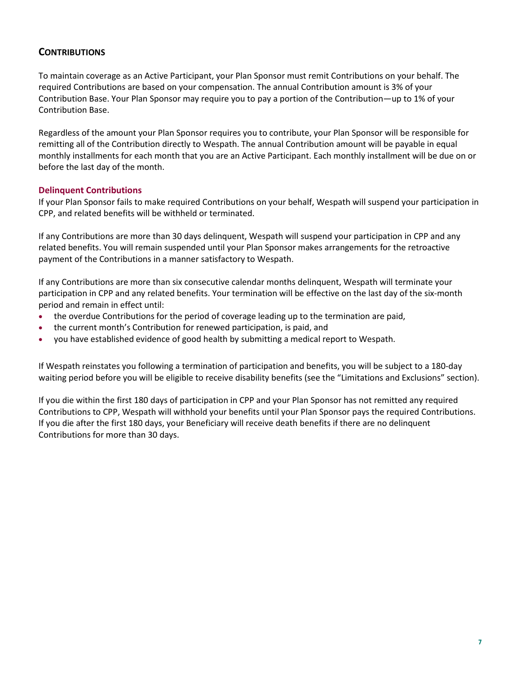### **CONTRIBUTIONS**

To maintain coverage as an Active Participant, your Plan Sponsor must remit Contributions on your behalf. The required Contributions are based on your compensation. The annual Contribution amount is 3% of your Contribution Base. Your Plan Sponsor may require you to pay a portion of the Contribution—up to 1% of your Contribution Base.

Regardless of the amount your Plan Sponsor requires you to contribute, your Plan Sponsor will be responsible for remitting all of the Contribution directly to Wespath. The annual Contribution amount will be payable in equal monthly installments for each month that you are an Active Participant. Each monthly installment will be due on or before the last day of the month.

### **Delinquent Contributions**

If your Plan Sponsor fails to make required Contributions on your behalf, Wespath will suspend your participation in CPP, and related benefits will be withheld or terminated.

If any Contributions are more than 30 days delinquent, Wespath will suspend your participation in CPP and any related benefits. You will remain suspended until your Plan Sponsor makes arrangements for the retroactive payment of the Contributions in a manner satisfactory to Wespath.

If any Contributions are more than six consecutive calendar months delinquent, Wespath will terminate your participation in CPP and any related benefits. Your termination will be effective on the last day of the six-month period and remain in effect until:

- the overdue Contributions for the period of coverage leading up to the termination are paid,
- the current month's Contribution for renewed participation, is paid, and
- you have established evidence of good health by submitting a medical report to Wespath.

If Wespath reinstates you following a termination of participation and benefits, you will be subject to a 180-day waiting period before you will be eligible to receive disability benefits (see the "Limitations and Exclusions" section).

If you die within the first 180 days of participation in CPP and your Plan Sponsor has not remitted any required Contributions to CPP, Wespath will withhold your benefits until your Plan Sponsor pays the required Contributions. If you die after the first 180 days, your Beneficiary will receive death benefits if there are no delinquent Contributions for more than 30 days.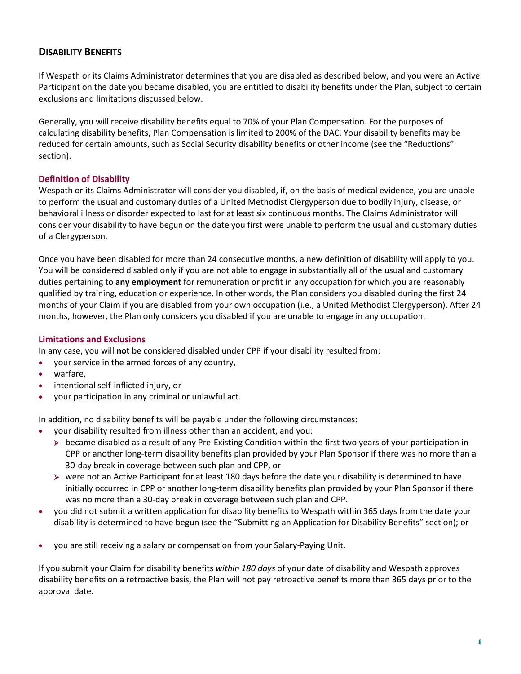### **DISABILITY BENEFITS**

If Wespath or its Claims Administrator determines that you are disabled as described below, and you were an Active Participant on the date you became disabled, you are entitled to disability benefits under the Plan, subject to certain exclusions and limitations discussed below.

Generally, you will receive disability benefits equal to 70% of your Plan Compensation. For the purposes of calculating disability benefits, Plan Compensation is limited to 200% of the DAC. Your disability benefits may be reduced for certain amounts, such as Social Security disability benefits or other income (see the "Reductions" section).

### **Definition of Disability**

Wespath or its Claims Administrator will consider you disabled, if, on the basis of medical evidence, you are unable to perform the usual and customary duties of a United Methodist Clergyperson due to bodily injury, disease, or behavioral illness or disorder expected to last for at least six continuous months. The Claims Administrator will consider your disability to have begun on the date you first were unable to perform the usual and customary duties of a Clergyperson.

Once you have been disabled for more than 24 consecutive months, a new definition of disability will apply to you. You will be considered disabled only if you are not able to engage in substantially all of the usual and customary duties pertaining to **any employment** for remuneration or profit in any occupation for which you are reasonably qualified by training, education or experience. In other words, the Plan considers you disabled during the first 24 months of your Claim if you are disabled from your own occupation (i.e., a United Methodist Clergyperson). After 24 months, however, the Plan only considers you disabled if you are unable to engage in any occupation.

### **Limitations and Exclusions**

In any case, you will **not** be considered disabled under CPP if your disability resulted from:

- your service in the armed forces of any country,
- warfare,
- intentional self-inflicted injury, or
- your participation in any criminal or unlawful act.

In addition, no disability benefits will be payable under the following circumstances:

- your disability resulted from illness other than an accident, and you:
	- $\triangleright$  became disabled as a result of any Pre-Existing Condition within the first two years of your participation in CPP or another long-term disability benefits plan provided by your Plan Sponsor if there was no more than a 30-day break in coverage between such plan and CPP, or
	- were not an Active Participant for at least 180 days before the date your disability is determined to have initially occurred in CPP or another long-term disability benefits plan provided by your Plan Sponsor if there was no more than a 30-day break in coverage between such plan and CPP.
- you did not submit a written application for disability benefits to Wespath within 365 days from the date your disability is determined to have begun (see the "Submitting an Application for Disability Benefits" section); or
- you are still receiving a salary or compensation from your Salary-Paying Unit.

If you submit your Claim for disability benefits *within 180 days* of your date of disability and Wespath approves disability benefits on a retroactive basis, the Plan will not pay retroactive benefits more than 365 days prior to the approval date.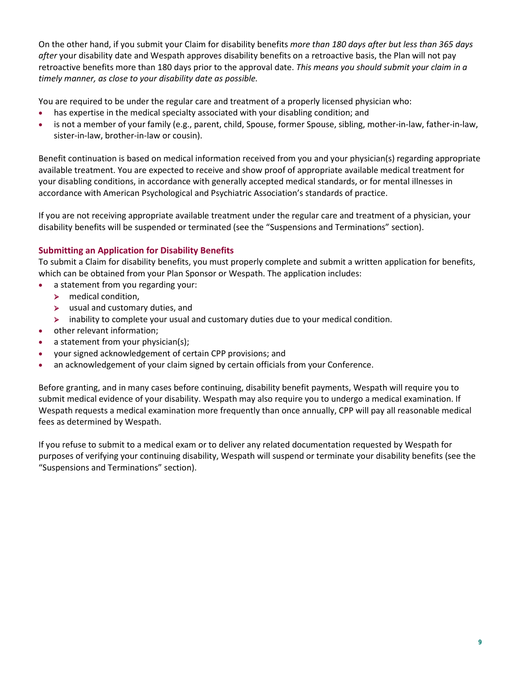On the other hand, if you submit your Claim for disability benefits *more than 180 days after but less than 365 days after* your disability date and Wespath approves disability benefits on a retroactive basis, the Plan will not pay retroactive benefits more than 180 days prior to the approval date. *This means you should submit your claim in a timely manner, as close to your disability date as possible.* 

You are required to be under the regular care and treatment of a properly licensed physician who:

- has expertise in the medical specialty associated with your disabling condition; and
- is not a member of your family (e.g., parent, child, Spouse, former Spouse, sibling, mother-in-law, father-in-law, sister-in-law, brother-in-law or cousin).

Benefit continuation is based on medical information received from you and your physician(s) regarding appropriate available treatment. You are expected to receive and show proof of appropriate available medical treatment for your disabling conditions, in accordance with generally accepted medical standards, or for mental illnesses in accordance with American Psychological and Psychiatric Association's standards of practice.

If you are not receiving appropriate available treatment under the regular care and treatment of a physician, your disability benefits will be suspended or terminated (see the "Suspensions and Terminations" section).

### **Submitting an Application for Disability Benefits**

To submit a Claim for disability benefits, you must properly complete and submit a written application for benefits, which can be obtained from your Plan Sponsor or Wespath. The application includes:

- a statement from you regarding your:
	- > medical condition,
	- $\triangleright$  usual and customary duties, and
	- $\triangleright$  inability to complete your usual and customary duties due to your medical condition.
- other relevant information;
- a statement from your physician(s);
- your signed acknowledgement of certain CPP provisions; and
- an acknowledgement of your claim signed by certain officials from your Conference.

Before granting, and in many cases before continuing, disability benefit payments, Wespath will require you to submit medical evidence of your disability. Wespath may also require you to undergo a medical examination. If Wespath requests a medical examination more frequently than once annually, CPP will pay all reasonable medical fees as determined by Wespath.

If you refuse to submit to a medical exam or to deliver any related documentation requested by Wespath for purposes of verifying your continuing disability, Wespath will suspend or terminate your disability benefits (see the "Suspensions and Terminations" section).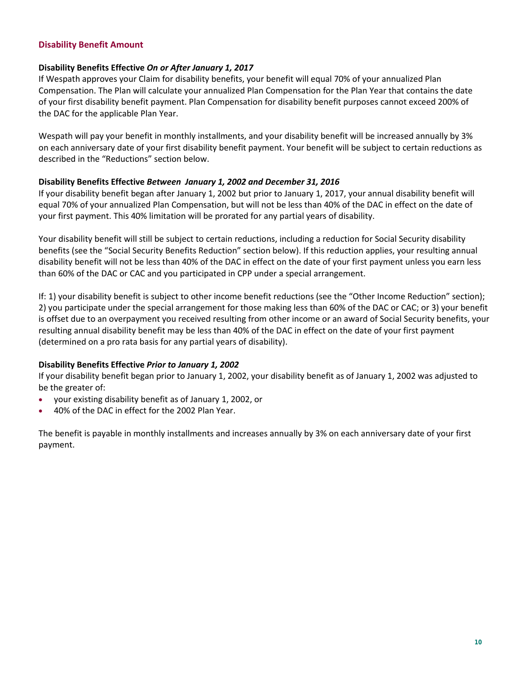### **Disability Benefit Amount**

#### **Disability Benefits Effective** *On or After January 1, 2017*

If Wespath approves your Claim for disability benefits, your benefit will equal 70% of your annualized Plan Compensation. The Plan will calculate your annualized Plan Compensation for the Plan Year that contains the date of your first disability benefit payment. Plan Compensation for disability benefit purposes cannot exceed 200% of the DAC for the applicable Plan Year.

Wespath will pay your benefit in monthly installments, and your disability benefit will be increased annually by 3% on each anniversary date of your first disability benefit payment. Your benefit will be subject to certain reductions as described in the "Reductions" section below.

#### **Disability Benefits Effective** *Between January 1, 2002 and December 31, 2016*

If your disability benefit began after January 1, 2002 but prior to January 1, 2017, your annual disability benefit will equal 70% of your annualized Plan Compensation, but will not be less than 40% of the DAC in effect on the date of your first payment. This 40% limitation will be prorated for any partial years of disability.

Your disability benefit will still be subject to certain reductions, including a reduction for Social Security disability benefits (see the "Social Security Benefits Reduction" section below). If this reduction applies, your resulting annual disability benefit will not be less than 40% of the DAC in effect on the date of your first payment unless you earn less than 60% of the DAC or CAC and you participated in CPP under a special arrangement.

If: 1) your disability benefit is subject to other income benefit reductions (see the "Other Income Reduction" section); 2) you participate under the special arrangement for those making less than 60% of the DAC or CAC; or 3) your benefit is offset due to an overpayment you received resulting from other income or an award of Social Security benefits, your resulting annual disability benefit may be less than 40% of the DAC in effect on the date of your first payment (determined on a pro rata basis for any partial years of disability).

### **Disability Benefits Effective** *Prior to January 1, 2002*

If your disability benefit began prior to January 1, 2002, your disability benefit as of January 1, 2002 was adjusted to be the greater of:

- your existing disability benefit as of January 1, 2002, or
- 40% of the DAC in effect for the 2002 Plan Year.

The benefit is payable in monthly installments and increases annually by 3% on each anniversary date of your first payment.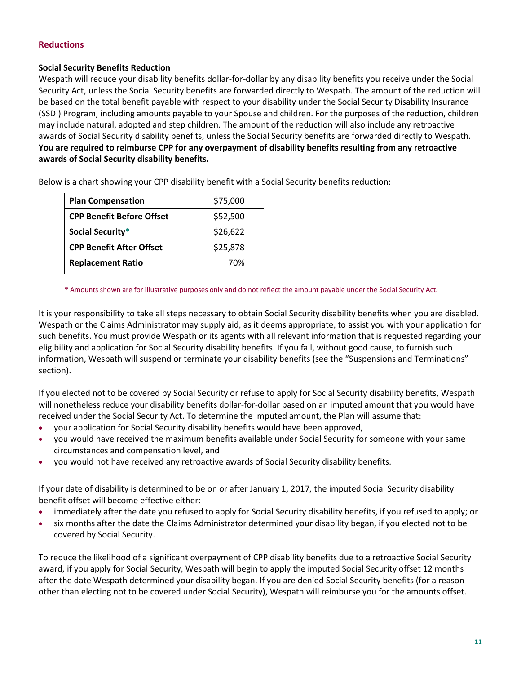### **Reductions**

### **Social Security Benefits Reduction**

Wespath will reduce your disability benefits dollar-for-dollar by any disability benefits you receive under the Social Security Act, unless the Social Security benefits are forwarded directly to Wespath. The amount of the reduction will be based on the total benefit payable with respect to your disability under the Social Security Disability Insurance (SSDI) Program, including amounts payable to your Spouse and children. For the purposes of the reduction, children may include natural, adopted and step children. The amount of the reduction will also include any retroactive awards of Social Security disability benefits, unless the Social Security benefits are forwarded directly to Wespath. **You are required to reimburse CPP for any overpayment of disability benefits resulting from any retroactive awards of Social Security disability benefits.**

| <b>Plan Compensation</b>         | \$75,000 |
|----------------------------------|----------|
| <b>CPP Benefit Before Offset</b> | \$52,500 |
| Social Security*                 | \$26,622 |
| <b>CPP Benefit After Offset</b>  | \$25,878 |
| <b>Replacement Ratio</b>         | 70%      |

Below is a chart showing your CPP disability benefit with a Social Security benefits reduction:

#### **\*** Amounts shown are for illustrative purposes only and do not reflect the amount payable under the Social Security Act.

It is your responsibility to take all steps necessary to obtain Social Security disability benefits when you are disabled. Wespath or the Claims Administrator may supply aid, as it deems appropriate, to assist you with your application for such benefits. You must provide Wespath or its agents with all relevant information that is requested regarding your eligibility and application for Social Security disability benefits. If you fail, without good cause, to furnish such information, Wespath will suspend or terminate your disability benefits (see the "Suspensions and Terminations" section).

If you elected not to be covered by Social Security or refuse to apply for Social Security disability benefits, Wespath will nonetheless reduce your disability benefits dollar-for-dollar based on an imputed amount that you would have received under the Social Security Act. To determine the imputed amount, the Plan will assume that:

- your application for Social Security disability benefits would have been approved,
- you would have received the maximum benefits available under Social Security for someone with your same circumstances and compensation level, and
- you would not have received any retroactive awards of Social Security disability benefits.

If your date of disability is determined to be on or after January 1, 2017, the imputed Social Security disability benefit offset will become effective either:

- immediately after the date you refused to apply for Social Security disability benefits, if you refused to apply; or
- six months after the date the Claims Administrator determined your disability began, if you elected not to be covered by Social Security.

To reduce the likelihood of a significant overpayment of CPP disability benefits due to a retroactive Social Security award, if you apply for Social Security, Wespath will begin to apply the imputed Social Security offset 12 months after the date Wespath determined your disability began. If you are denied Social Security benefits (for a reason other than electing not to be covered under Social Security), Wespath will reimburse you for the amounts offset.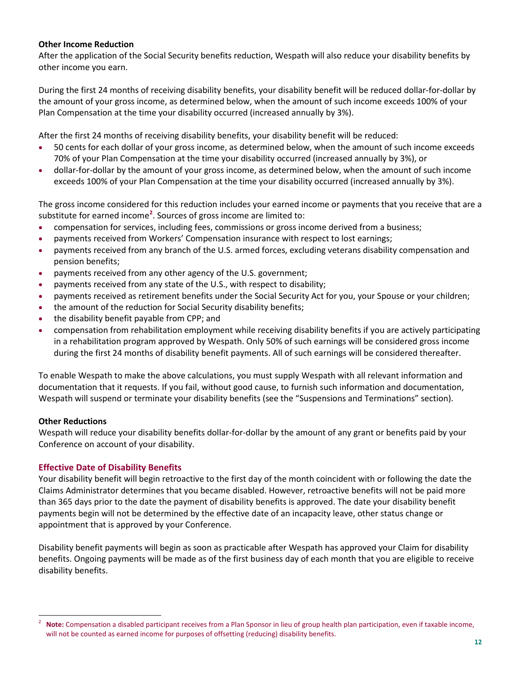### **Other Income Reduction**

After the application of the Social Security benefits reduction, Wespath will also reduce your disability benefits by other income you earn.

During the first 24 months of receiving disability benefits, your disability benefit will be reduced dollar-for-dollar by the amount of your gross income, as determined below, when the amount of such income exceeds 100% of your Plan Compensation at the time your disability occurred (increased annually by 3%).

After the first 24 months of receiving disability benefits, your disability benefit will be reduced:

- 50 cents for each dollar of your gross income, as determined below, when the amount of such income exceeds 70% of your Plan Compensation at the time your disability occurred (increased annually by 3%), or
- dollar-for-dollar by the amount of your gross income, as determined below, when the amount of such income exceeds 100% of your Plan Compensation at the time your disability occurred (increased annually by 3%).

The gross income considered for this reduction includes your earned income or payments that you receive that are a substitute for earned income<sup>[2](#page-14-0)</sup>. Sources of gross income are limited to:

- compensation for services, including fees, commissions or gross income derived from a business;
- payments received from Workers' Compensation insurance with respect to lost earnings;
- payments received from any branch of the U.S. armed forces, excluding veterans disability compensation and pension benefits;
- payments received from any other agency of the U.S. government;
- payments received from any state of the U.S., with respect to disability;
- payments received as retirement benefits under the Social Security Act for you, your Spouse or your children;
- the amount of the reduction for Social Security disability benefits;
- the disability benefit payable from CPP; and
- compensation from rehabilitation employment while receiving disability benefits if you are actively participating in a rehabilitation program approved by Wespath. Only 50% of such earnings will be considered gross income during the first 24 months of disability benefit payments. All of such earnings will be considered thereafter.

To enable Wespath to make the above calculations, you must supply Wespath with all relevant information and documentation that it requests. If you fail, without good cause, to furnish such information and documentation, Wespath will suspend or terminate your disability benefits (see the "Suspensions and Terminations" section).

### **Other Reductions**

Wespath will reduce your disability benefits dollar-for-dollar by the amount of any grant or benefits paid by your Conference on account of your disability.

### **Effective Date of Disability Benefits**

Your disability benefit will begin retroactive to the first day of the month coincident with or following the date the Claims Administrator determines that you became disabled. However, retroactive benefits will not be paid more than 365 days prior to the date the payment of disability benefits is approved. The date your disability benefit payments begin will not be determined by the effective date of an incapacity leave, other status change or appointment that is approved by your Conference.

Disability benefit payments will begin as soon as practicable after Wespath has approved your Claim for disability benefits. Ongoing payments will be made as of the first business day of each month that you are eligible to receive disability benefits.

<span id="page-14-0"></span><sup>2</sup> **Note:** Compensation a disabled participant receives from a Plan Sponsor in lieu of group health plan participation, even if taxable income, will not be counted as earned income for purposes of offsetting (reducing) disability benefits.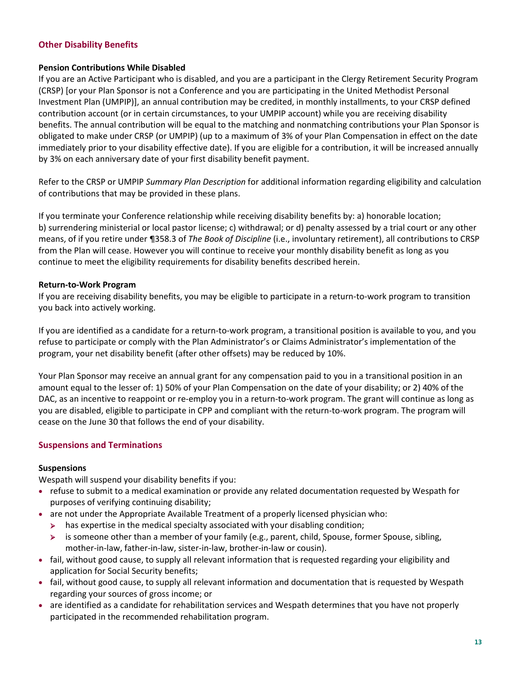### **Other Disability Benefits**

### **Pension Contributions While Disabled**

If you are an Active Participant who is disabled, and you are a participant in the Clergy Retirement Security Program (CRSP) [or your Plan Sponsor is not a Conference and you are participating in the United Methodist Personal Investment Plan (UMPIP)], an annual contribution may be credited, in monthly installments, to your CRSP defined contribution account (or in certain circumstances, to your UMPIP account) while you are receiving disability benefits. The annual contribution will be equal to the matching and nonmatching contributions your Plan Sponsor is obligated to make under CRSP (or UMPIP) (up to a maximum of 3% of your Plan Compensation in effect on the date immediately prior to your disability effective date). If you are eligible for a contribution, it will be increased annually by 3% on each anniversary date of your first disability benefit payment.

Refer to the CRSP or UMPIP *Summary Plan Description* for additional information regarding eligibility and calculation of contributions that may be provided in these plans.

If you terminate your Conference relationship while receiving disability benefits by: a) honorable location; b) surrendering ministerial or local pastor license; c) withdrawal; or d) penalty assessed by a trial court or any other means, of if you retire under ¶358.3 of *The Book of Discipline* (i.e., involuntary retirement), all contributions to CRSP from the Plan will cease. However you will continue to receive your monthly disability benefit as long as you continue to meet the eligibility requirements for disability benefits described herein.

### **Return-to-Work Program**

If you are receiving disability benefits, you may be eligible to participate in a return-to-work program to transition you back into actively working.

If you are identified as a candidate for a return-to-work program, a transitional position is available to you, and you refuse to participate or comply with the Plan Administrator's or Claims Administrator's implementation of the program, your net disability benefit (after other offsets) may be reduced by 10%.

Your Plan Sponsor may receive an annual grant for any compensation paid to you in a transitional position in an amount equal to the lesser of: 1) 50% of your Plan Compensation on the date of your disability; or 2) 40% of the DAC, as an incentive to reappoint or re-employ you in a return-to-work program. The grant will continue as long as you are disabled, eligible to participate in CPP and compliant with the return-to-work program. The program will cease on the June 30 that follows the end of your disability.

### **Suspensions and Terminations**

### **Suspensions**

Wespath will suspend your disability benefits if you:

- refuse to submit to a medical examination or provide any related documentation requested by Wespath for purposes of verifying continuing disability;
- are not under the Appropriate Available Treatment of a properly licensed physician who:
	- $\triangleright$  has expertise in the medical specialty associated with your disabling condition;
	- $\triangleright$  is someone other than a member of your family (e.g., parent, child, Spouse, former Spouse, sibling, mother-in-law, father-in-law, sister-in-law, brother-in-law or cousin).
- fail, without good cause, to supply all relevant information that is requested regarding your eligibility and application for Social Security benefits;
- fail, without good cause, to supply all relevant information and documentation that is requested by Wespath regarding your sources of gross income; or
- are identified as a candidate for rehabilitation services and Wespath determines that you have not properly participated in the recommended rehabilitation program.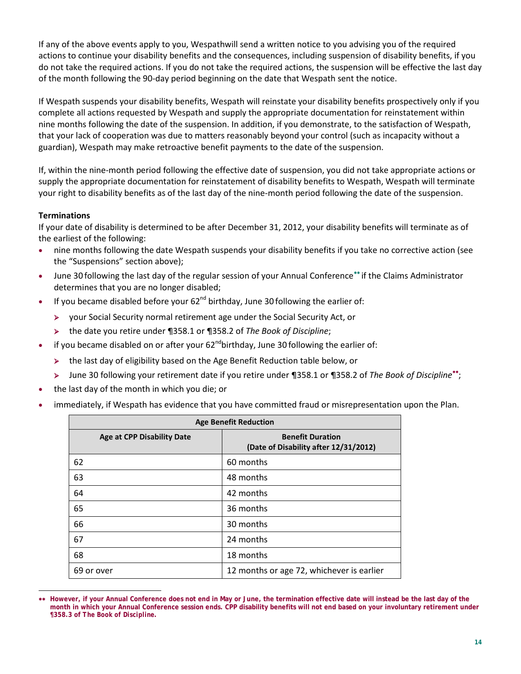If any of the above events apply to you, Wespathwill send a written notice to you advising you of the required actions to continue your disability benefits and the consequences, including suspension of disability benefits, if you do not take the required actions. If you do not take the required actions, the suspension will be effective the last day of the month following the 90-day period beginning on the date that Wespath sent the notice.

If Wespath suspends your disability benefits, Wespath will reinstate your disability benefits prospectively only if you complete all actions requested by Wespath and supply the appropriate documentation for reinstatement within nine months following the date of the suspension. In addition, if you demonstrate, to the satisfaction of Wespath, that your lack of cooperation was due to matters reasonably beyond your control (such as incapacity without a guardian), Wespath may make retroactive benefit payments to the date of the suspension.

If, within the nine-month period following the effective date of suspension, you did not take appropriate actions or supply the appropriate documentation for reinstatement of disability benefits to Wespath, Wespath will terminate your right to disability benefits as of the last day of the nine-month period following the date of the suspension.

### **Terminations**

If your date of disability is determined to be after December 31, 2012, your disability benefits will terminate as of the earliest of the following:

- nine months following the date Wespath suspends your disability benefits if you take no corrective action (see the "Suspensions" section above);
- June 30 following the last day of the regular session of your Annual Conference[∗∗](#page-16-0) if the Claims Administrator determines that you are no longer disabled;
- If you became disabled before your  $62^{nd}$  birthday, June 30 following the earlier of:
	- your Social Security normal retirement age under the Social Security Act, or
	- the date you retire under ¶358.1 or ¶358.2 of *The Book of Discipline*;
- if you became disabled on or after your  $62<sup>nd</sup>$  birthday, June 30 following the earlier of:
	- the last day of eligibility based on the Age Benefit Reduction table below, or
	- June 30 following your retirement date if you retire under ¶358.1 or ¶358.2 of *The Book of Discipline*[∗∗](#page-16-1) ;
- the last day of the month in which you die; or
- immediately, if Wespath has evidence that you have committed fraud or misrepresentation upon the Plan.

| <b>Age Benefit Reduction</b> |                                                                  |  |
|------------------------------|------------------------------------------------------------------|--|
| Age at CPP Disability Date   | <b>Benefit Duration</b><br>(Date of Disability after 12/31/2012) |  |
| 62                           | 60 months                                                        |  |
| 63                           | 48 months                                                        |  |
| 64                           | 42 months                                                        |  |
| 65                           | 36 months                                                        |  |
| 66                           | 30 months                                                        |  |
| 67                           | 24 months                                                        |  |
| 68                           | 18 months                                                        |  |
| 69 or over                   | 12 months or age 72, whichever is earlier                        |  |

<span id="page-16-1"></span><span id="page-16-0"></span><sup>&</sup>lt;u>.</u> ∗∗ **However, if your Annual Conference does not end in May or June, the termination effective date will instead be the last day of the month in which your Annual Conference session ends. CPP disability benefits will not end based on your involuntary retirement under ¶358.3 of** *The Book of Discipline***.**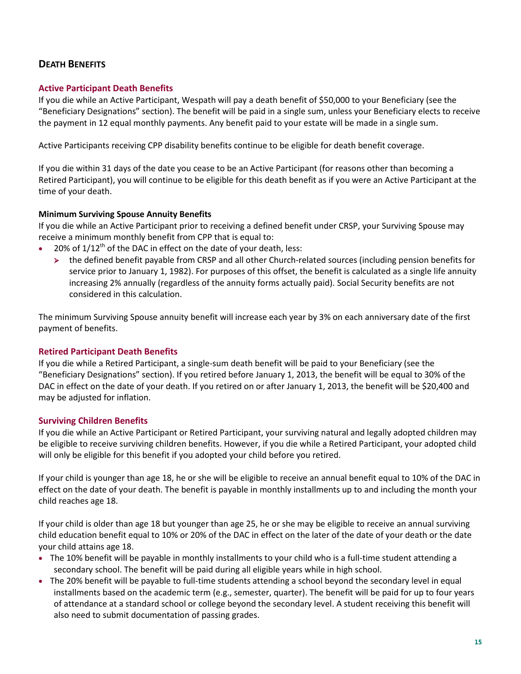### **DEATH BENEFITS**

### **Active Participant Death Benefits**

If you die while an Active Participant, Wespath will pay a death benefit of \$50,000 to your Beneficiary (see the "Beneficiary Designations" section). The benefit will be paid in a single sum, unless your Beneficiary elects to receive the payment in 12 equal monthly payments. Any benefit paid to your estate will be made in a single sum.

Active Participants receiving CPP disability benefits continue to be eligible for death benefit coverage.

If you die within 31 days of the date you cease to be an Active Participant (for reasons other than becoming a Retired Participant), you will continue to be eligible for this death benefit as if you were an Active Participant at the time of your death.

### **Minimum Surviving Spouse Annuity Benefits**

If you die while an Active Participant prior to receiving a defined benefit under CRSP, your Surviving Spouse may receive a minimum monthly benefit from CPP that is equal to:

- 20% of  $1/12^{th}$  of the DAC in effect on the date of your death, less:
	- $\triangleright$  the defined benefit payable from CRSP and all other Church-related sources (including pension benefits for service prior to January 1, 1982). For purposes of this offset, the benefit is calculated as a single life annuity increasing 2% annually (regardless of the annuity forms actually paid). Social Security benefits are not considered in this calculation.

The minimum Surviving Spouse annuity benefit will increase each year by 3% on each anniversary date of the first payment of benefits.

### **Retired Participant Death Benefits**

If you die while a Retired Participant, a single-sum death benefit will be paid to your Beneficiary (see the "Beneficiary Designations" section). If you retired before January 1, 2013, the benefit will be equal to 30% of the DAC in effect on the date of your death. If you retired on or after January 1, 2013, the benefit will be \$20,400 and may be adjusted for inflation.

### **Surviving Children Benefits**

If you die while an Active Participant or Retired Participant, your surviving natural and legally adopted children may be eligible to receive surviving children benefits. However, if you die while a Retired Participant, your adopted child will only be eligible for this benefit if you adopted your child before you retired.

If your child is younger than age 18, he or she will be eligible to receive an annual benefit equal to 10% of the DAC in effect on the date of your death. The benefit is payable in monthly installments up to and including the month your child reaches age 18.

If your child is older than age 18 but younger than age 25, he or she may be eligible to receive an annual surviving child education benefit equal to 10% or 20% of the DAC in effect on the later of the date of your death or the date your child attains age 18.

- The 10% benefit will be payable in monthly installments to your child who is a full-time student attending a secondary school. The benefit will be paid during all eligible years while in high school.
- The 20% benefit will be payable to full-time students attending a school beyond the secondary level in equal installments based on the academic term (e.g., semester, quarter). The benefit will be paid for up to four years of attendance at a standard school or college beyond the secondary level. A student receiving this benefit will also need to submit documentation of passing grades.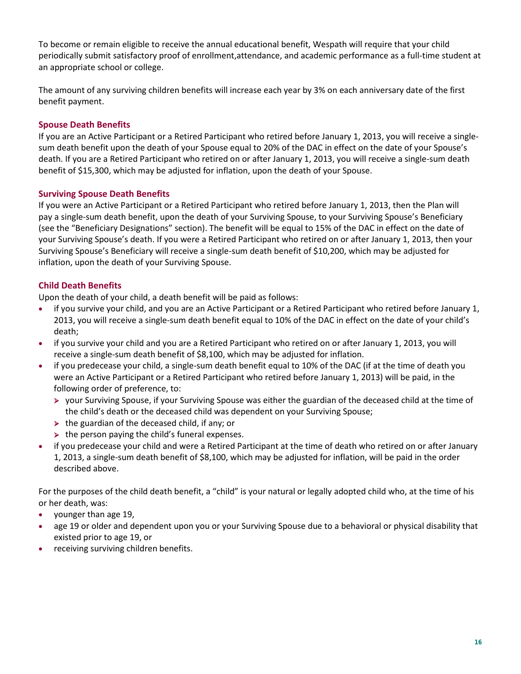To become or remain eligible to receive the annual educational benefit, Wespath will require that your child periodically submit satisfactory proof of enrollment,attendance, and academic performance as a full-time student at an appropriate school or college.

The amount of any surviving children benefits will increase each year by 3% on each anniversary date of the first benefit payment.

### **Spouse Death Benefits**

If you are an Active Participant or a Retired Participant who retired before January 1, 2013, you will receive a singlesum death benefit upon the death of your Spouse equal to 20% of the DAC in effect on the date of your Spouse's death. If you are a Retired Participant who retired on or after January 1, 2013, you will receive a single-sum death benefit of \$15,300, which may be adjusted for inflation, upon the death of your Spouse.

### **Surviving Spouse Death Benefits**

If you were an Active Participant or a Retired Participant who retired before January 1, 2013, then the Plan will pay a single-sum death benefit, upon the death of your Surviving Spouse, to your Surviving Spouse's Beneficiary (see the "Beneficiary Designations" section). The benefit will be equal to 15% of the DAC in effect on the date of your Surviving Spouse's death. If you were a Retired Participant who retired on or after January 1, 2013, then your Surviving Spouse's Beneficiary will receive a single-sum death benefit of \$10,200, which may be adjusted for inflation, upon the death of your Surviving Spouse.

### **Child Death Benefits**

Upon the death of your child, a death benefit will be paid as follows:

- if you survive your child, and you are an Active Participant or a Retired Participant who retired before January 1, 2013, you will receive a single-sum death benefit equal to 10% of the DAC in effect on the date of your child's death;
- if you survive your child and you are a Retired Participant who retired on or after January 1, 2013, you will receive a single-sum death benefit of \$8,100, which may be adjusted for inflation.
- if you predecease your child, a single-sum death benefit equal to 10% of the DAC (if at the time of death you were an Active Participant or a Retired Participant who retired before January 1, 2013) will be paid, in the following order of preference, to:
	- your Surviving Spouse, if your Surviving Spouse was either the guardian of the deceased child at the time of the child's death or the deceased child was dependent on your Surviving Spouse;
	- $\triangleright$  the guardian of the deceased child, if any; or
	- $\triangleright$  the person paying the child's funeral expenses.
- if you predecease your child and were a Retired Participant at the time of death who retired on or after January 1, 2013, a single-sum death benefit of \$8,100, which may be adjusted for inflation, will be paid in the order described above.

For the purposes of the child death benefit, a "child" is your natural or legally adopted child who, at the time of his or her death, was:

- younger than age 19,
- age 19 or older and dependent upon you or your Surviving Spouse due to a behavioral or physical disability that existed prior to age 19, or
- receiving surviving children benefits.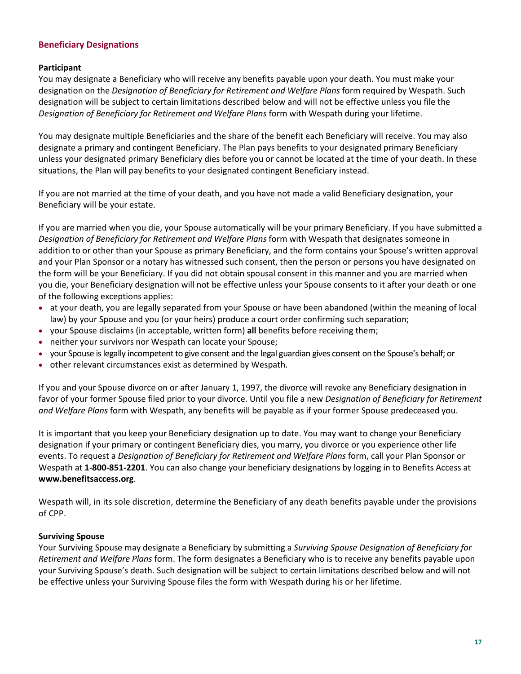### **Beneficiary Designations**

### **Participant**

You may designate a Beneficiary who will receive any benefits payable upon your death. You must make your designation on the *Designation of Beneficiary for Retirement and Welfare Plans* form required by Wespath. Such designation will be subject to certain limitations described below and will not be effective unless you file the *Designation of Beneficiary for Retirement and Welfare Plans* form with Wespath during your lifetime.

You may designate multiple Beneficiaries and the share of the benefit each Beneficiary will receive. You may also designate a primary and contingent Beneficiary. The Plan pays benefits to your designated primary Beneficiary unless your designated primary Beneficiary dies before you or cannot be located at the time of your death. In these situations, the Plan will pay benefits to your designated contingent Beneficiary instead.

If you are not married at the time of your death, and you have not made a valid Beneficiary designation, your Beneficiary will be your estate.

If you are married when you die, your Spouse automatically will be your primary Beneficiary. If you have submitted a *Designation of Beneficiary for Retirement and Welfare Plans* form with Wespath that designates someone in addition to or other than your Spouse as primary Beneficiary, and the form contains your Spouse's written approval and your Plan Sponsor or a notary has witnessed such consent, then the person or persons you have designated on the form will be your Beneficiary. If you did not obtain spousal consent in this manner and you are married when you die, your Beneficiary designation will not be effective unless your Spouse consents to it after your death or one of the following exceptions applies:

- at your death, you are legally separated from your Spouse or have been abandoned (within the meaning of local law) by your Spouse and you (or your heirs) produce a court order confirming such separation;
- your Spouse disclaims (in acceptable, written form) **all** benefits before receiving them;
- neither your survivors nor Wespath can locate your Spouse;
- your Spouse is legally incompetent to give consent and the legal guardian gives consent on the Spouse's behalf; or
- other relevant circumstances exist as determined by Wespath.

If you and your Spouse divorce on or after January 1, 1997, the divorce will revoke any Beneficiary designation in favor of your former Spouse filed prior to your divorce. Until you file a new *Designation of Beneficiary for Retirement and Welfare Plans* form with Wespath, any benefits will be payable as if your former Spouse predeceased you.

It is important that you keep your Beneficiary designation up to date. You may want to change your Beneficiary designation if your primary or contingent Beneficiary dies, you marry, you divorce or you experience other life events. To request a *Designation of Beneficiary for Retirement and Welfare Plans* form, call your Plan Sponsor or Wespath at **1-800-851-2201**. You can also change your beneficiary designations by logging in to Benefits Access at **www.benefitsaccess.org**.

Wespath will, in its sole discretion, determine the Beneficiary of any death benefits payable under the provisions of CPP.

### **Surviving Spouse**

Your Surviving Spouse may designate a Beneficiary by submitting a *Surviving Spouse Designation of Beneficiary for Retirement and Welfare Plans* form. The form designates a Beneficiary who is to receive any benefits payable upon your Surviving Spouse's death. Such designation will be subject to certain limitations described below and will not be effective unless your Surviving Spouse files the form with Wespath during his or her lifetime.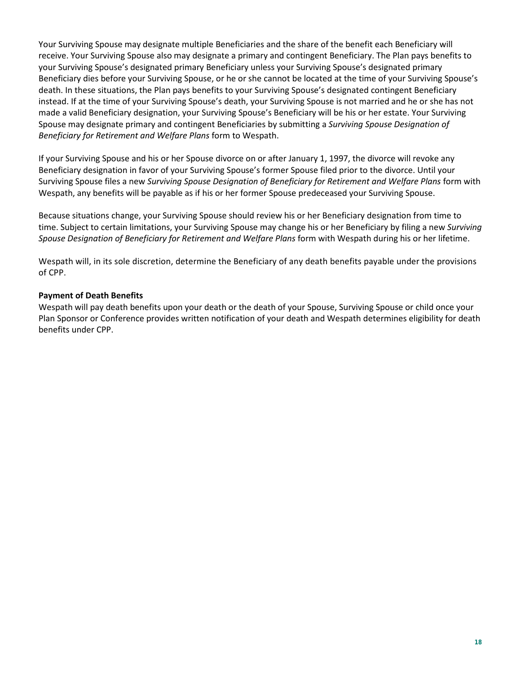Your Surviving Spouse may designate multiple Beneficiaries and the share of the benefit each Beneficiary will receive. Your Surviving Spouse also may designate a primary and contingent Beneficiary. The Plan pays benefits to your Surviving Spouse's designated primary Beneficiary unless your Surviving Spouse's designated primary Beneficiary dies before your Surviving Spouse, or he or she cannot be located at the time of your Surviving Spouse's death. In these situations, the Plan pays benefits to your Surviving Spouse's designated contingent Beneficiary instead. If at the time of your Surviving Spouse's death, your Surviving Spouse is not married and he or she has not made a valid Beneficiary designation, your Surviving Spouse's Beneficiary will be his or her estate. Your Surviving Spouse may designate primary and contingent Beneficiaries by submitting a *Surviving Spouse Designation of Beneficiary for Retirement and Welfare Plans* form to Wespath.

If your Surviving Spouse and his or her Spouse divorce on or after January 1, 1997, the divorce will revoke any Beneficiary designation in favor of your Surviving Spouse's former Spouse filed prior to the divorce. Until your Surviving Spouse files a new *Surviving Spouse Designation of Beneficiary for Retirement and Welfare Plans* form with Wespath, any benefits will be payable as if his or her former Spouse predeceased your Surviving Spouse.

Because situations change, your Surviving Spouse should review his or her Beneficiary designation from time to time. Subject to certain limitations, your Surviving Spouse may change his or her Beneficiary by filing a new *Surviving Spouse Designation of Beneficiary for Retirement and Welfare Plans* form with Wespath during his or her lifetime.

Wespath will, in its sole discretion, determine the Beneficiary of any death benefits payable under the provisions of CPP.

### **Payment of Death Benefits**

Wespath will pay death benefits upon your death or the death of your Spouse, Surviving Spouse or child once your Plan Sponsor or Conference provides written notification of your death and Wespath determines eligibility for death benefits under CPP.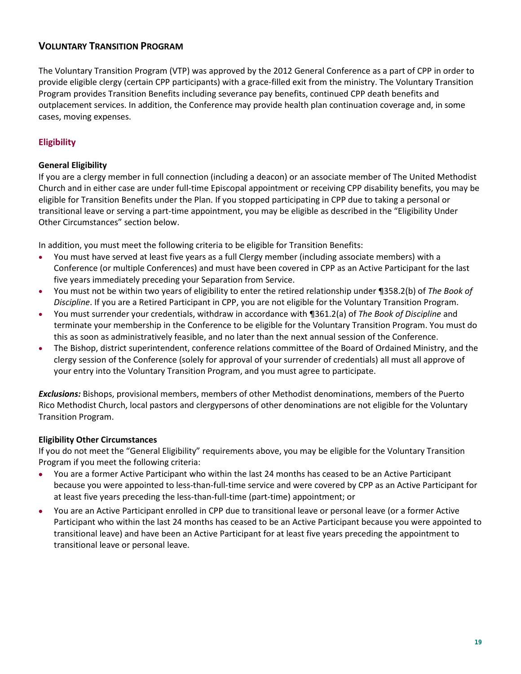### **VOLUNTARY TRANSITION PROGRAM**

The Voluntary Transition Program (VTP) was approved by the 2012 General Conference as a part of CPP in order to provide eligible clergy (certain CPP participants) with a grace-filled exit from the ministry. The Voluntary Transition Program provides Transition Benefits including severance pay benefits, continued CPP death benefits and outplacement services. In addition, the Conference may provide health plan continuation coverage and, in some cases, moving expenses.

### **Eligibility**

### **General Eligibility**

If you are a clergy member in full connection (including a deacon) or an associate member of The United Methodist Church and in either case are under full-time Episcopal appointment or receiving CPP disability benefits, you may be eligible for Transition Benefits under the Plan. If you stopped participating in CPP due to taking a personal or transitional leave or serving a part-time appointment, you may be eligible as described in the "Eligibility Under Other Circumstances" section below.

In addition, you must meet the following criteria to be eligible for Transition Benefits:

- You must have served at least five years as a full Clergy member (including associate members) with a Conference (or multiple Conferences) and must have been covered in CPP as an Active Participant for the last five years immediately preceding your Separation from Service.
- You must not be within two years of eligibility to enter the retired relationship under ¶358.2(b) of *The Book of Discipline*. If you are a Retired Participant in CPP, you are not eligible for the Voluntary Transition Program.
- You must surrender your credentials, withdraw in accordance with ¶361.2(a) of *The Book of Discipline* and terminate your membership in the Conference to be eligible for the Voluntary Transition Program. You must do this as soon as administratively feasible, and no later than the next annual session of the Conference.
- The Bishop, district superintendent, conference relations committee of the Board of Ordained Ministry, and the clergy session of the Conference (solely for approval of your surrender of credentials) all must all approve of your entry into the Voluntary Transition Program, and you must agree to participate.

*Exclusions:* Bishops, provisional members, members of other Methodist denominations, members of the Puerto Rico Methodist Church, local pastors and clergypersons of other denominations are not eligible for the Voluntary Transition Program.

### **Eligibility Other Circumstances**

If you do not meet the "General Eligibility" requirements above, you may be eligible for the Voluntary Transition Program if you meet the following criteria:

- You are a former Active Participant who within the last 24 months has ceased to be an Active Participant because you were appointed to less-than-full-time service and were covered by CPP as an Active Participant for at least five years preceding the less-than-full-time (part-time) appointment; or
- You are an Active Participant enrolled in CPP due to transitional leave or personal leave (or a former Active Participant who within the last 24 months has ceased to be an Active Participant because you were appointed to transitional leave) and have been an Active Participant for at least five years preceding the appointment to transitional leave or personal leave.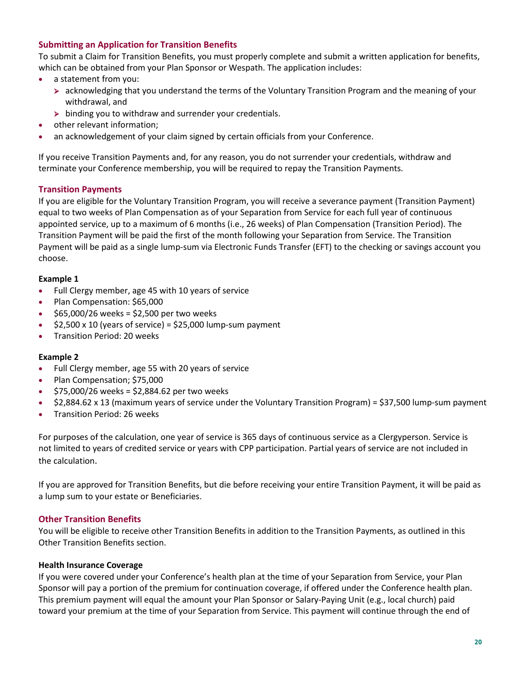### **Submitting an Application for Transition Benefits**

To submit a Claim for Transition Benefits, you must properly complete and submit a written application for benefits, which can be obtained from your Plan Sponsor or Wespath. The application includes:

- a statement from you:
	- acknowledging that you understand the terms of the Voluntary Transition Program and the meaning of your withdrawal, and
	- $\triangleright$  binding you to withdraw and surrender your credentials.
- other relevant information;
- an acknowledgement of your claim signed by certain officials from your Conference.

If you receive Transition Payments and, for any reason, you do not surrender your credentials, withdraw and terminate your Conference membership, you will be required to repay the Transition Payments.

### **Transition Payments**

If you are eligible for the Voluntary Transition Program, you will receive a severance payment (Transition Payment) equal to two weeks of Plan Compensation as of your Separation from Service for each full year of continuous appointed service, up to a maximum of 6 months (i.e., 26 weeks) of Plan Compensation (Transition Period). The Transition Payment will be paid the first of the month following your Separation from Service. The Transition Payment will be paid as a single lump-sum via Electronic Funds Transfer (EFT) to the checking or savings account you choose.

### **Example 1**

- Full Clergy member, age 45 with 10 years of service
- Plan Compensation: \$65,000
- \$65,000/26 weeks = \$2,500 per two weeks
- $$2,500 \times 10$  (years of service) = \$25,000 lump-sum payment
- Transition Period: 20 weeks

### **Example 2**

- Full Clergy member, age 55 with 20 years of service
- Plan Compensation; \$75,000
- $$75,000/26$  weeks = \$2,884.62 per two weeks
- \$2,884.62 x 13 (maximum years of service under the Voluntary Transition Program) = \$37,500 lump-sum payment
- Transition Period: 26 weeks

For purposes of the calculation, one year of service is 365 days of continuous service as a Clergyperson. Service is not limited to years of credited service or years with CPP participation. Partial years of service are not included in the calculation.

If you are approved for Transition Benefits, but die before receiving your entire Transition Payment, it will be paid as a lump sum to your estate or Beneficiaries.

### **Other Transition Benefits**

You will be eligible to receive other Transition Benefits in addition to the Transition Payments, as outlined in this Other Transition Benefits section.

### **Health Insurance Coverage**

If you were covered under your Conference's health plan at the time of your Separation from Service, your Plan Sponsor will pay a portion of the premium for continuation coverage, if offered under the Conference health plan. This premium payment will equal the amount your Plan Sponsor or Salary-Paying Unit (e.g., local church) paid toward your premium at the time of your Separation from Service. This payment will continue through the end of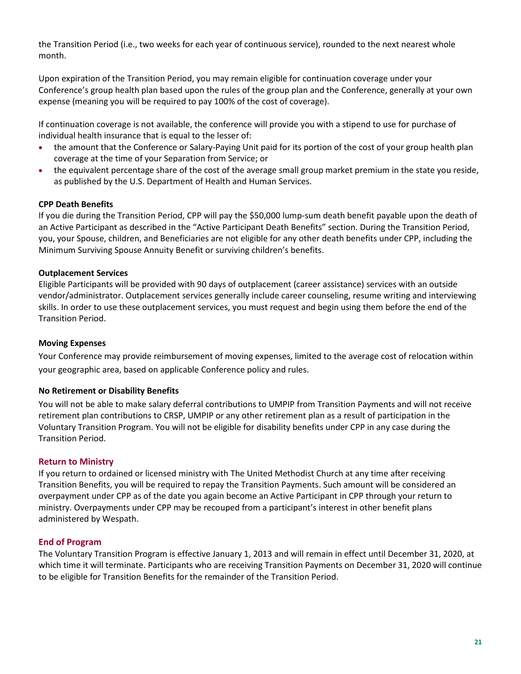the Transition Period (i.e., two weeks for each year of continuous service), rounded to the next nearest whole month.

Upon expiration of the Transition Period, you may remain eligible for continuation coverage under your Conference's group health plan based upon the rules of the group plan and the Conference, generally at your own expense (meaning you will be required to pay 100% of the cost of coverage).

If continuation coverage is not available, the conference will provide you with a stipend to use for purchase of individual health insurance that is equal to the lesser of:

- the amount that the Conference or Salary-Paying Unit paid for its portion of the cost of your group health plan coverage at the time of your Separation from Service; or
- the equivalent percentage share of the cost of the average small group market premium in the state you reside, as published by the U.S. Department of Health and Human Services.

### **CPP Death Benefits**

If you die during the Transition Period, CPP will pay the \$50,000 lump-sum death benefit payable upon the death of an Active Participant as described in the "Active Participant Death Benefits" section. During the Transition Period, you, your Spouse, children, and Beneficiaries are not eligible for any other death benefits under CPP, including the Minimum Surviving Spouse Annuity Benefit or surviving children's benefits.

### **Outplacement Services**

Eligible Participants will be provided with 90 days of outplacement (career assistance) services with an outside vendor/administrator. Outplacement services generally include career counseling, resume writing and interviewing skills. In order to use these outplacement services, you must request and begin using them before the end of the Transition Period.

### **Moving Expenses**

Your Conference may provide reimbursement of moving expenses, limited to the average cost of relocation within your geographic area, based on applicable Conference policy and rules.

### **No Retirement or Disability Benefits**

You will not be able to make salary deferral contributions to UMPIP from Transition Payments and will not receive retirement plan contributions to CRSP, UMPIP or any other retirement plan as a result of participation in the Voluntary Transition Program. You will not be eligible for disability benefits under CPP in any case during the Transition Period.

### **Return to Ministry**

If you return to ordained or licensed ministry with The United Methodist Church at any time after receiving Transition Benefits, you will be required to repay the Transition Payments. Such amount will be considered an overpayment under CPP as of the date you again become an Active Participant in CPP through your return to ministry. Overpayments under CPP may be recouped from a participant's interest in other benefit plans administered by Wespath.

### **End of Program**

The Voluntary Transition Program is effective January 1, 2013 and will remain in effect until December 31, 2020, at which time it will terminate. Participants who are receiving Transition Payments on December 31, 2020 will continue to be eligible for Transition Benefits for the remainder of the Transition Period.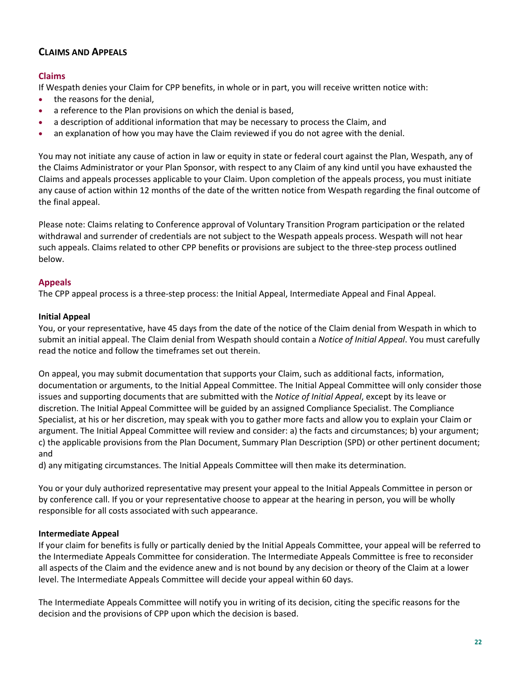### **CLAIMS AND APPEALS**

### **Claims**

If Wespath denies your Claim for CPP benefits, in whole or in part, you will receive written notice with:

- the reasons for the denial,
- a reference to the Plan provisions on which the denial is based,
- a description of additional information that may be necessary to process the Claim, and
- an explanation of how you may have the Claim reviewed if you do not agree with the denial.

You may not initiate any cause of action in law or equity in state or federal court against the Plan, Wespath, any of the Claims Administrator or your Plan Sponsor, with respect to any Claim of any kind until you have exhausted the Claims and appeals processes applicable to your Claim. Upon completion of the appeals process, you must initiate any cause of action within 12 months of the date of the written notice from Wespath regarding the final outcome of the final appeal.

Please note: Claims relating to Conference approval of Voluntary Transition Program participation or the related withdrawal and surrender of credentials are not subject to the Wespath appeals process. Wespath will not hear such appeals. Claims related to other CPP benefits or provisions are subject to the three-step process outlined below.

### **Appeals**

The CPP appeal process is a three-step process: the Initial Appeal, Intermediate Appeal and Final Appeal.

### **Initial Appeal**

You, or your representative, have 45 days from the date of the notice of the Claim denial from Wespath in which to submit an initial appeal. The Claim denial from Wespath should contain a *Notice of Initial Appeal*. You must carefully read the notice and follow the timeframes set out therein.

On appeal, you may submit documentation that supports your Claim, such as additional facts, information, documentation or arguments, to the Initial Appeal Committee. The Initial Appeal Committee will only consider those issues and supporting documents that are submitted with the *Notice of Initial Appeal*, except by its leave or discretion. The Initial Appeal Committee will be guided by an assigned Compliance Specialist. The Compliance Specialist, at his or her discretion, may speak with you to gather more facts and allow you to explain your Claim or argument. The Initial Appeal Committee will review and consider: a) the facts and circumstances; b) your argument; c) the applicable provisions from the Plan Document, Summary Plan Description (SPD) or other pertinent document; and

d) any mitigating circumstances. The Initial Appeals Committee will then make its determination.

You or your duly authorized representative may present your appeal to the Initial Appeals Committee in person or by conference call. If you or your representative choose to appear at the hearing in person, you will be wholly responsible for all costs associated with such appearance.

### **Intermediate Appeal**

If your claim for benefits is fully or partically denied by the Initial Appeals Committee, your appeal will be referred to the Intermediate Appeals Committee for consideration. The Intermediate Appeals Committee is free to reconsider all aspects of the Claim and the evidence anew and is not bound by any decision or theory of the Claim at a lower level. The Intermediate Appeals Committee will decide your appeal within 60 days.

The Intermediate Appeals Committee will notify you in writing of its decision, citing the specific reasons for the decision and the provisions of CPP upon which the decision is based.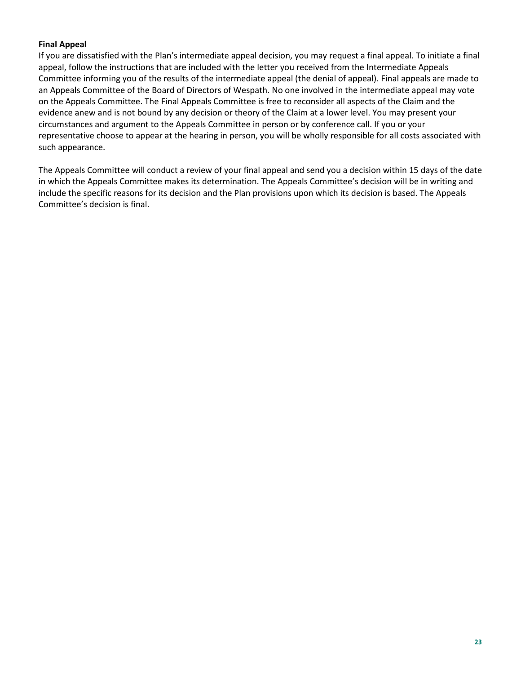### **Final Appeal**

If you are dissatisfied with the Plan's intermediate appeal decision, you may request a final appeal. To initiate a final appeal, follow the instructions that are included with the letter you received from the Intermediate Appeals Committee informing you of the results of the intermediate appeal (the denial of appeal). Final appeals are made to an Appeals Committee of the Board of Directors of Wespath. No one involved in the intermediate appeal may vote on the Appeals Committee. The Final Appeals Committee is free to reconsider all aspects of the Claim and the evidence anew and is not bound by any decision or theory of the Claim at a lower level. You may present your circumstances and argument to the Appeals Committee in person or by conference call. If you or your representative choose to appear at the hearing in person, you will be wholly responsible for all costs associated with such appearance.

The Appeals Committee will conduct a review of your final appeal and send you a decision within 15 days of the date in which the Appeals Committee makes its determination. The Appeals Committee's decision will be in writing and include the specific reasons for its decision and the Plan provisions upon which its decision is based. The Appeals Committee's decision is final.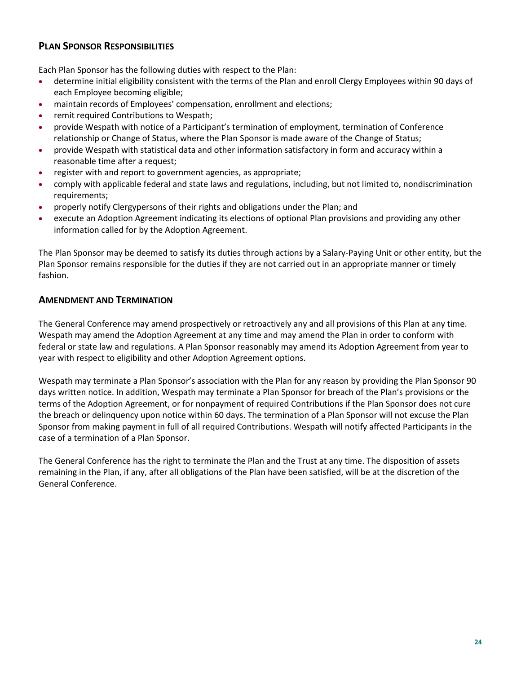### **PLAN SPONSOR RESPONSIBILITIES**

Each Plan Sponsor has the following duties with respect to the Plan:

- determine initial eligibility consistent with the terms of the Plan and enroll Clergy Employees within 90 days of each Employee becoming eligible;
- maintain records of Employees' compensation, enrollment and elections;
- remit required Contributions to Wespath;
- provide Wespath with notice of a Participant's termination of employment, termination of Conference relationship or Change of Status, where the Plan Sponsor is made aware of the Change of Status;
- provide Wespath with statistical data and other information satisfactory in form and accuracy within a reasonable time after a request;
- register with and report to government agencies, as appropriate;
- comply with applicable federal and state laws and regulations, including, but not limited to, nondiscrimination requirements;
- properly notify Clergypersons of their rights and obligations under the Plan; and
- execute an Adoption Agreement indicating its elections of optional Plan provisions and providing any other information called for by the Adoption Agreement.

The Plan Sponsor may be deemed to satisfy its duties through actions by a Salary-Paying Unit or other entity, but the Plan Sponsor remains responsible for the duties if they are not carried out in an appropriate manner or timely fashion.

### **AMENDMENT AND TERMINATION**

The General Conference may amend prospectively or retroactively any and all provisions of this Plan at any time. Wespath may amend the Adoption Agreement at any time and may amend the Plan in order to conform with federal or state law and regulations. A Plan Sponsor reasonably may amend its Adoption Agreement from year to year with respect to eligibility and other Adoption Agreement options.

Wespath may terminate a Plan Sponsor's association with the Plan for any reason by providing the Plan Sponsor 90 days written notice. In addition, Wespath may terminate a Plan Sponsor for breach of the Plan's provisions or the terms of the Adoption Agreement, or for nonpayment of required Contributions if the Plan Sponsor does not cure the breach or delinquency upon notice within 60 days. The termination of a Plan Sponsor will not excuse the Plan Sponsor from making payment in full of all required Contributions. Wespath will notify affected Participants in the case of a termination of a Plan Sponsor.

The General Conference has the right to terminate the Plan and the Trust at any time. The disposition of assets remaining in the Plan, if any, after all obligations of the Plan have been satisfied, will be at the discretion of the General Conference.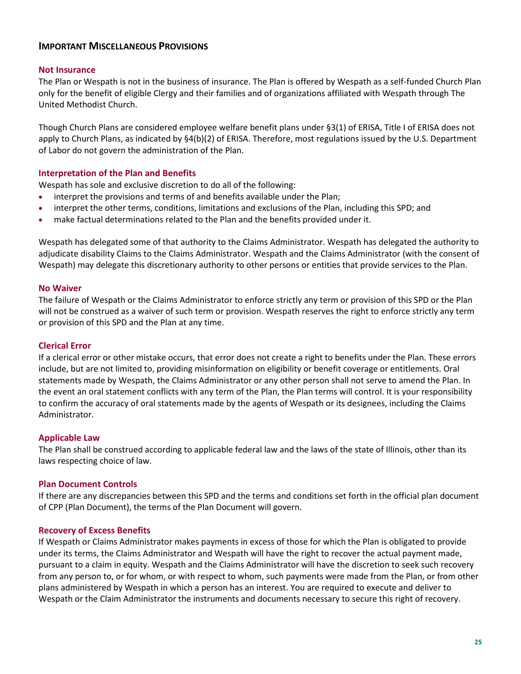### **IMPORTANT MISCELLANEOUS PROVISIONS**

#### **Not Insurance**

The Plan or Wespath is not in the business of insurance. The Plan is offered by Wespath as a self-funded Church Plan only for the benefit of eligible Clergy and their families and of organizations affiliated with Wespath through The United Methodist Church.

Though Church Plans are considered employee welfare benefit plans under §3(1) of ERISA, Title I of ERISA does not apply to Church Plans, as indicated by §4(b)(2) of ERISA. Therefore, most regulations issued by the U.S. Department of Labor do not govern the administration of the Plan.

#### **Interpretation of the Plan and Benefits**

Wespath has sole and exclusive discretion to do all of the following:

- interpret the provisions and terms of and benefits available under the Plan;
- interpret the other terms, conditions, limitations and exclusions of the Plan, including this SPD; and
- make factual determinations related to the Plan and the benefits provided under it.

Wespath has delegated some of that authority to the Claims Administrator. Wespath has delegated the authority to adjudicate disability Claims to the Claims Administrator. Wespath and the Claims Administrator (with the consent of Wespath) may delegate this discretionary authority to other persons or entities that provide services to the Plan.

#### **No Waiver**

The failure of Wespath or the Claims Administrator to enforce strictly any term or provision of this SPD or the Plan will not be construed as a waiver of such term or provision. Wespath reserves the right to enforce strictly any term or provision of this SPD and the Plan at any time.

#### **Clerical Error**

If a clerical error or other mistake occurs, that error does not create a right to benefits under the Plan. These errors include, but are not limited to, providing misinformation on eligibility or benefit coverage or entitlements. Oral statements made by Wespath, the Claims Administrator or any other person shall not serve to amend the Plan. In the event an oral statement conflicts with any term of the Plan, the Plan terms will control. It is your responsibility to confirm the accuracy of oral statements made by the agents of Wespath or its designees, including the Claims Administrator.

#### **Applicable Law**

The Plan shall be construed according to applicable federal law and the laws of the state of Illinois, other than its laws respecting choice of law.

### **Plan Document Controls**

If there are any discrepancies between this SPD and the terms and conditions set forth in the official plan document of CPP (Plan Document), the terms of the Plan Document will govern.

#### **Recovery of Excess Benefits**

If Wespath or Claims Administrator makes payments in excess of those for which the Plan is obligated to provide under its terms, the Claims Administrator and Wespath will have the right to recover the actual payment made, pursuant to a claim in equity. Wespath and the Claims Administrator will have the discretion to seek such recovery from any person to, or for whom, or with respect to whom, such payments were made from the Plan, or from other plans administered by Wespath in which a person has an interest. You are required to execute and deliver to Wespath or the Claim Administrator the instruments and documents necessary to secure this right of recovery.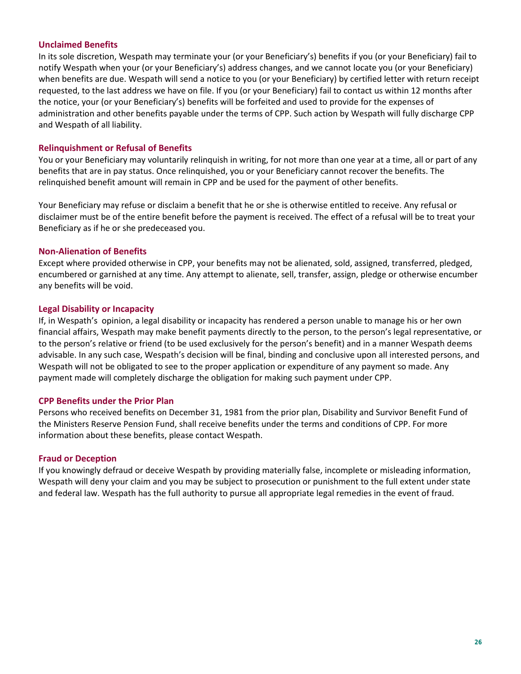### **Unclaimed Benefits**

In its sole discretion, Wespath may terminate your (or your Beneficiary's) benefits if you (or your Beneficiary) fail to notify Wespath when your (or your Beneficiary's) address changes, and we cannot locate you (or your Beneficiary) when benefits are due. Wespath will send a notice to you (or your Beneficiary) by certified letter with return receipt requested, to the last address we have on file. If you (or your Beneficiary) fail to contact us within 12 months after the notice, your (or your Beneficiary's) benefits will be forfeited and used to provide for the expenses of administration and other benefits payable under the terms of CPP. Such action by Wespath will fully discharge CPP and Wespath of all liability.

### **Relinquishment or Refusal of Benefits**

You or your Beneficiary may voluntarily relinquish in writing, for not more than one year at a time, all or part of any benefits that are in pay status. Once relinquished, you or your Beneficiary cannot recover the benefits. The relinquished benefit amount will remain in CPP and be used for the payment of other benefits.

Your Beneficiary may refuse or disclaim a benefit that he or she is otherwise entitled to receive. Any refusal or disclaimer must be of the entire benefit before the payment is received. The effect of a refusal will be to treat your Beneficiary as if he or she predeceased you.

### **Non-Alienation of Benefits**

Except where provided otherwise in CPP, your benefits may not be alienated, sold, assigned, transferred, pledged, encumbered or garnished at any time. Any attempt to alienate, sell, transfer, assign, pledge or otherwise encumber any benefits will be void.

### **Legal Disability or Incapacity**

If, in Wespath's opinion, a legal disability or incapacity has rendered a person unable to manage his or her own financial affairs, Wespath may make benefit payments directly to the person, to the person's legal representative, or to the person's relative or friend (to be used exclusively for the person's benefit) and in a manner Wespath deems advisable. In any such case, Wespath's decision will be final, binding and conclusive upon all interested persons, and Wespath will not be obligated to see to the proper application or expenditure of any payment so made. Any payment made will completely discharge the obligation for making such payment under CPP.

### **CPP Benefits under the Prior Plan**

Persons who received benefits on December 31, 1981 from the prior plan, Disability and Survivor Benefit Fund of the Ministers Reserve Pension Fund, shall receive benefits under the terms and conditions of CPP. For more information about these benefits, please contact Wespath.

### **Fraud or Deception**

If you knowingly defraud or deceive Wespath by providing materially false, incomplete or misleading information, Wespath will deny your claim and you may be subject to prosecution or punishment to the full extent under state and federal law. Wespath has the full authority to pursue all appropriate legal remedies in the event of fraud.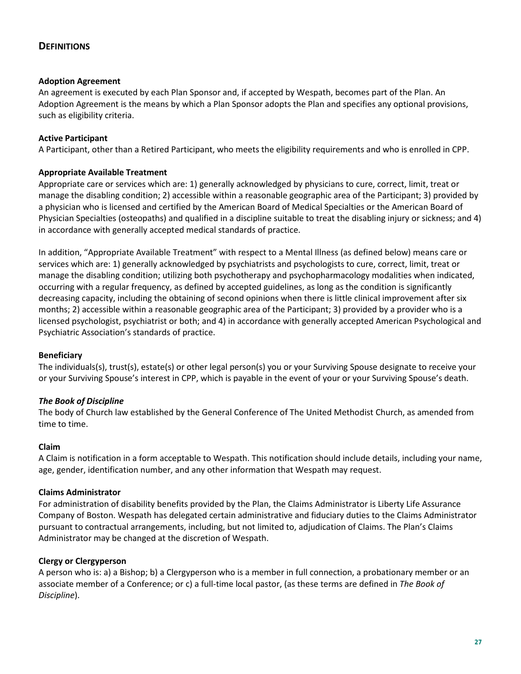### **DEFINITIONS**

#### **Adoption Agreement**

An agreement is executed by each Plan Sponsor and, if accepted by Wespath, becomes part of the Plan. An Adoption Agreement is the means by which a Plan Sponsor adopts the Plan and specifies any optional provisions, such as eligibility criteria.

### **Active Participant**

A Participant, other than a Retired Participant, who meets the eligibility requirements and who is enrolled in CPP.

### **Appropriate Available Treatment**

Appropriate care or services which are: 1) generally acknowledged by physicians to cure, correct, limit, treat or manage the disabling condition; 2) accessible within a reasonable geographic area of the Participant; 3) provided by a physician who is licensed and certified by the American Board of Medical Specialties or the American Board of Physician Specialties (osteopaths) and qualified in a discipline suitable to treat the disabling injury or sickness; and 4) in accordance with generally accepted medical standards of practice.

In addition, "Appropriate Available Treatment" with respect to a Mental Illness (as defined below) means care or services which are: 1) generally acknowledged by psychiatrists and psychologists to cure, correct, limit, treat or manage the disabling condition; utilizing both psychotherapy and psychopharmacology modalities when indicated, occurring with a regular frequency, as defined by accepted guidelines, as long as the condition is significantly decreasing capacity, including the obtaining of second opinions when there is little clinical improvement after six months; 2) accessible within a reasonable geographic area of the Participant; 3) provided by a provider who is a licensed psychologist, psychiatrist or both; and 4) in accordance with generally accepted American Psychological and Psychiatric Association's standards of practice.

### **Beneficiary**

The individuals(s), trust(s), estate(s) or other legal person(s) you or your Surviving Spouse designate to receive your or your Surviving Spouse's interest in CPP, which is payable in the event of your or your Surviving Spouse's death.

### *The Book of Discipline*

The body of Church law established by the General Conference of The United Methodist Church, as amended from time to time.

### **Claim**

A Claim is notification in a form acceptable to Wespath. This notification should include details, including your name, age, gender, identification number, and any other information that Wespath may request.

### **Claims Administrator**

For administration of disability benefits provided by the Plan, the Claims Administrator is Liberty Life Assurance Company of Boston. Wespath has delegated certain administrative and fiduciary duties to the Claims Administrator pursuant to contractual arrangements, including, but not limited to, adjudication of Claims. The Plan's Claims Administrator may be changed at the discretion of Wespath.

### **Clergy or Clergyperson**

A person who is: a) a Bishop; b) a Clergyperson who is a member in full connection, a probationary member or an associate member of a Conference; or c) a full-time local pastor, (as these terms are defined in *The Book of Discipline*).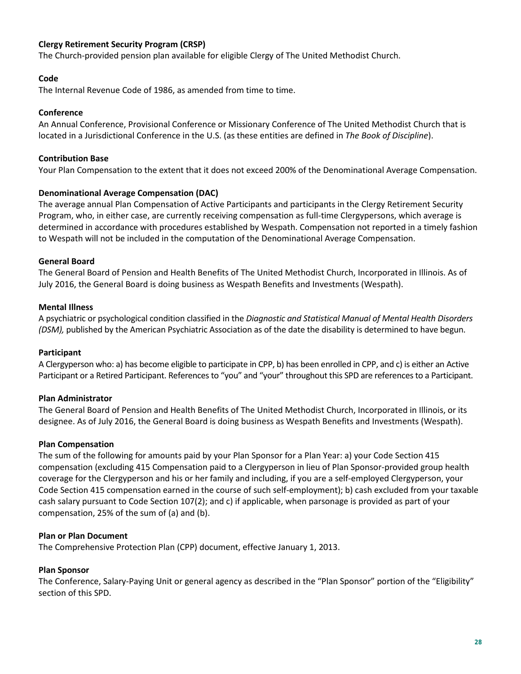### **Clergy Retirement Security Program (CRSP)**

The Church-provided pension plan available for eligible Clergy of The United Methodist Church.

#### **Code**

The Internal Revenue Code of 1986, as amended from time to time.

#### **Conference**

An Annual Conference, Provisional Conference or Missionary Conference of The United Methodist Church that is located in a Jurisdictional Conference in the U.S. (as these entities are defined in *The Book of Discipline*).

#### **Contribution Base**

Your Plan Compensation to the extent that it does not exceed 200% of the Denominational Average Compensation.

#### **Denominational Average Compensation (DAC)**

The average annual Plan Compensation of Active Participants and participants in the Clergy Retirement Security Program, who, in either case, are currently receiving compensation as full-time Clergypersons, which average is determined in accordance with procedures established by Wespath. Compensation not reported in a timely fashion to Wespath will not be included in the computation of the Denominational Average Compensation.

#### **General Board**

The General Board of Pension and Health Benefits of The United Methodist Church, Incorporated in Illinois. As of July 2016, the General Board is doing business as Wespath Benefits and Investments (Wespath).

#### **Mental Illness**

A psychiatric or psychological condition classified in the *Diagnostic and Statistical Manual of Mental Health Disorders (DSM),* published by the American Psychiatric Association as of the date the disability is determined to have begun.

#### **Participant**

A Clergyperson who: a) has become eligible to participate in CPP, b) has been enrolled in CPP, and c) is either an Active Participant or a Retired Participant. References to "you" and "your" throughout this SPD are references to a Participant.

### **Plan Administrator**

The General Board of Pension and Health Benefits of The United Methodist Church, Incorporated in Illinois, or its designee. As of July 2016, the General Board is doing business as Wespath Benefits and Investments (Wespath).

### **Plan Compensation**

The sum of the following for amounts paid by your Plan Sponsor for a Plan Year: a) your Code Section 415 compensation (excluding 415 Compensation paid to a Clergyperson in lieu of Plan Sponsor-provided group health coverage for the Clergyperson and his or her family and including, if you are a self-employed Clergyperson, your Code Section 415 compensation earned in the course of such self-employment); b) cash excluded from your taxable cash salary pursuant to Code Section 107(2); and c) if applicable, when parsonage is provided as part of your compensation, 25% of the sum of (a) and (b).

#### **Plan or Plan Document**

The Comprehensive Protection Plan (CPP) document, effective January 1, 2013.

### **Plan Sponsor**

The Conference, Salary-Paying Unit or general agency as described in the "Plan Sponsor" portion of the "Eligibility" section of this SPD.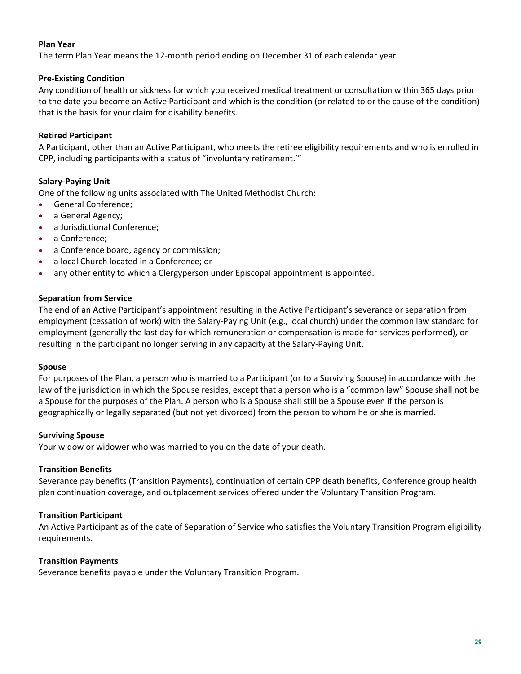### **Plan Year**

The term Plan Year means the 12-month period ending on December 31 of each calendar year.

### **Pre-Existing Condition**

Any condition of health or sickness for which you received medical treatment or consultation within 365 days prior to the date you become an Active Participant and which is the condition (or related to or the cause of the condition) that is the basis for your claim for disability benefits.

### **Retired Participant**

A Participant, other than an Active Participant, who meets the retiree eligibility requirements and who is enrolled in CPP, including participants with a status of "involuntary retirement.'"

### **Salary-Paying Unit**

One of the following units associated with The United Methodist Church:

- General Conference;
- a General Agency;
- a Jurisdictional Conference;
- a Conference:
- a Conference board, agency or commission;
- a local Church located in a Conference; or
- any other entity to which a Clergyperson under Episcopal appointment is appointed.

### **Separation from Service**

The end of an Active Participant's appointment resulting in the Active Participant's severance or separation from employment (cessation of work) with the Salary-Paying Unit (e.g., local church) under the common law standard for employment (generally the last day for which remuneration or compensation is made for services performed), or resulting in the participant no longer serving in any capacity at the Salary-Paying Unit.

### **Spouse**

For purposes of the Plan, a person who is married to a Participant (or to a Surviving Spouse) in accordance with the law of the jurisdiction in which the Spouse resides, except that a person who is a "common law" Spouse shall not be a Spouse for the purposes of the Plan. A person who is a Spouse shall still be a Spouse even if the person is geographically or legally separated (but not yet divorced) from the person to whom he or she is married.

### **Surviving Spouse**

Your widow or widower who was married to you on the date of your death.

### **Transition Benefits**

Severance pay benefits (Transition Payments), continuation of certain CPP death benefits, Conference group health plan continuation coverage, and outplacement services offered under the Voluntary Transition Program.

### **Transition Participant**

An Active Participant as of the date of Separation of Service who satisfies the Voluntary Transition Program eligibility requirements.

### **Transition Payments**

Severance benefits payable under the Voluntary Transition Program.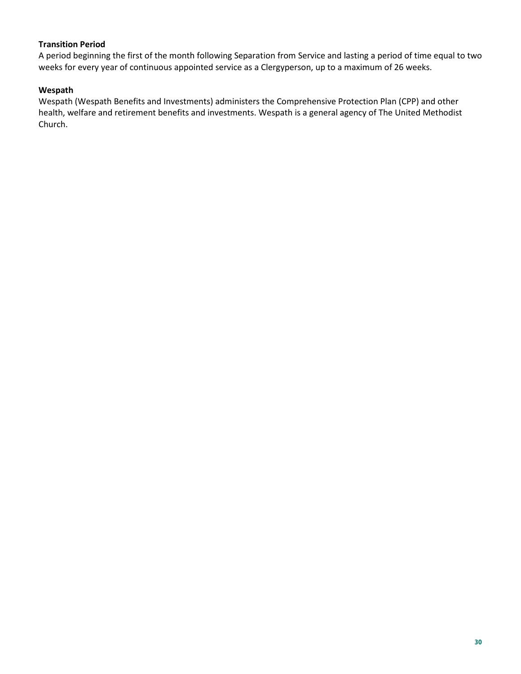### **Transition Period**

A period beginning the first of the month following Separation from Service and lasting a period of time equal to two weeks for every year of continuous appointed service as a Clergyperson, up to a maximum of 26 weeks.

### **Wespath**

Wespath (Wespath Benefits and Investments) administers the Comprehensive Protection Plan (CPP) and other health, welfare and retirement benefits and investments. Wespath is a general agency of The United Methodist Church.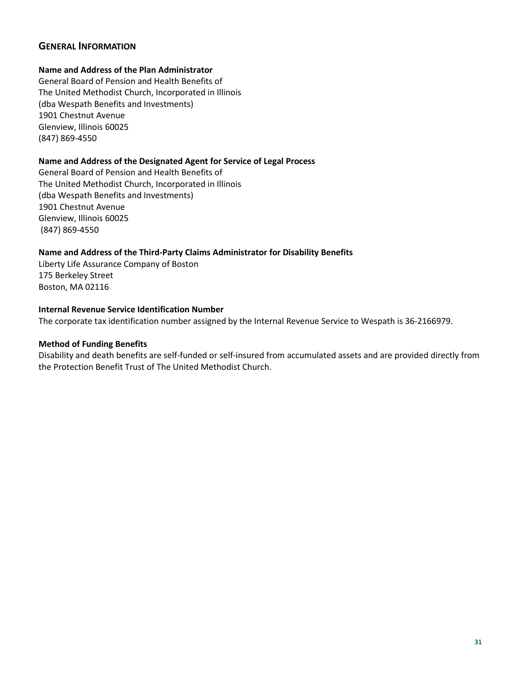### **GENERAL INFORMATION**

### **Name and Address of the Plan Administrator**

General Board of Pension and Health Benefits of The United Methodist Church, Incorporated in Illinois (dba Wespath Benefits and Investments) 1901 Chestnut Avenue Glenview, Illinois 60025 (847) 869-4550

#### **Name and Address of the Designated Agent for Service of Legal Process**

General Board of Pension and Health Benefits of The United Methodist Church, Incorporated in Illinois (dba Wespath Benefits and Investments) 1901 Chestnut Avenue Glenview, Illinois 60025 (847) 869-4550

### **Name and Address of the Third-Party Claims Administrator for Disability Benefits**

Liberty Life Assurance Company of Boston 175 Berkeley Street Boston, MA 02116

#### **Internal Revenue Service Identification Number**

The corporate tax identification number assigned by the Internal Revenue Service to Wespath is 36-2166979.

### **Method of Funding Benefits**

Disability and death benefits are self-funded or self-insured from accumulated assets and are provided directly from the Protection Benefit Trust of The United Methodist Church.